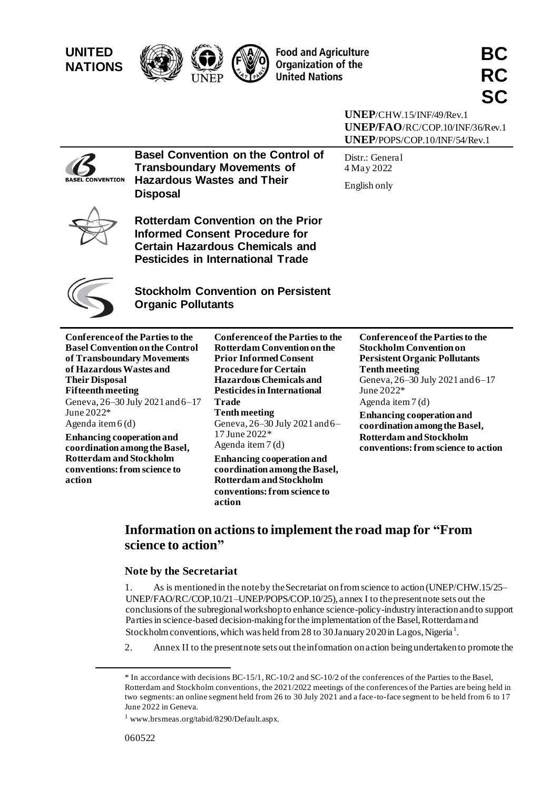



**Food and Agriculture Organization of the United Nations** 

**UNEP**/CHW.15/INF/49/Rev.1 **UNEP/FAO**/RC/COP.10/INF/36/Rev.1 **UNEP**/POPS/COP.10/INF/54/Rev.1



**Basel Convention on the Control of Transboundary Movements of Hazardous Wastes and Their Disposal Rotterdam Convention on the Prior Informed Consent Procedure for Certain Hazardous Chemicals and Pesticides in International Trade Stockholm Convention on Persistent**  Distr.: General 4 May 2022 English only



**Organic Pollutants**

**action**

| Conference of the Parties to the                                  | <b>Conference of the Parties to the</b>                                                                                             | <b>Conference of the Parties to the</b> |
|-------------------------------------------------------------------|-------------------------------------------------------------------------------------------------------------------------------------|-----------------------------------------|
| <b>Basel Convention on the Control</b>                            | <b>Rotterdam Convention on the</b>                                                                                                  | <b>Stockholm Convention on</b>          |
| of Transboundary Movements                                        | <b>Prior Informed Consent</b>                                                                                                       | <b>Persistent Organic Pollutants</b>    |
| of Hazardous Wastes and                                           | <b>Procedure for Certain</b>                                                                                                        | <b>Tenth meeting</b>                    |
| Their Disposal                                                    | <b>Hazardous Chemicals and</b>                                                                                                      | Geneva, 26-30 July 2021 and 6-17        |
| Fifteenth meeting                                                 | <b>Pesticides in International</b>                                                                                                  | June 2022*                              |
| Geneva, 26–30 July 2021 and 6–17                                  | Trade                                                                                                                               | Agenda item $7(d)$                      |
| June 2022*                                                        | <b>Tenth meeting</b>                                                                                                                | <b>Enhancing cooperation and</b>        |
| Agenda item 6 (d)                                                 | Geneva, $26-30$ July $2021$ and $6-$                                                                                                | coordination among the Basel,           |
| <b>Enhancing cooperation and</b>                                  | 17 June 2022*                                                                                                                       | Rotterdam and Stockholm                 |
| coordination among the Basel,                                     | Agenda item $7(d)$                                                                                                                  | conventions: from science to action     |
| Rotterdam and Stockholm<br>conventions: from science to<br>action | <b>Enhancing cooperation and</b><br>coordination among the Basel,<br><b>Rotterdam and Stockholm</b><br>conventions: from science to |                                         |

## **Information on actions to implement the road map for "From science to action"**

### **Note by the Secretariat**

1. As is mentioned in the note by the Secretariat on from science to action (UNEP/CHW.15/25– UNEP/FAO/RC/COP.10/21–UNEP/POPS/COP.10/25), annex I to the present note sets out the conclusions of the subregional workshop to enhance science-policy-industry interaction and to support Parties in science-based decision-making for the implementation of the Basel, Rotterdam and Stockholm conventions, which was held from 28 to 30 January 2020 in Lagos, Nigeria<sup>1</sup>.

2. Annex II to the present note sets out the information on action being undertaken to promote the

<sup>\*</sup> In accordance with decisions BC-15/1, RC-10/2 and SC-10/2 of the conferences of the Parties to the Basel, Rotterdam and Stockholm conventions, the 2021/2022 meetings of the conferences of the Parties are being held in two segments: an online segment held from 26 to 30 July 2021 and a face-to-face segment to be held from 6 to 17 June 2022 in Geneva.

<sup>1</sup> www.brsmeas.org/tabid/8290/Default.aspx.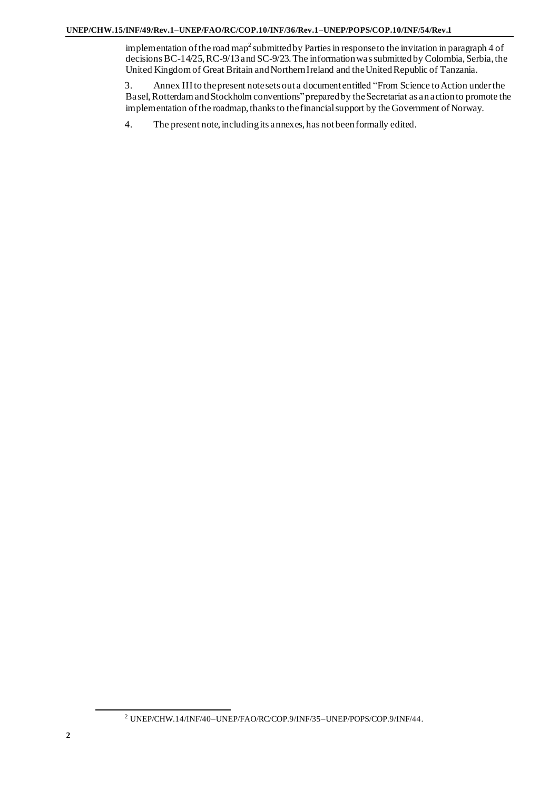implementation of the road map<sup>2</sup> submitted by Parties in response to the invitation in paragraph 4 of decisions BC-14/25, RC-9/13 and SC-9/23. The information was submitted by Colombia, Serbia, the United Kingdom of Great Britain and Northern Ireland and the United Republic of Tanzania.

3. Annex III to the present note sets out a document entitled "From Science to Action under the Basel, Rotterdam and Stockholm conventions" prepared by the Secretariat as an action to promote the implementation ofthe roadmap, thanks to the financial support by the Government of Norway.

4. The present note, including its annexes, has not been formally edited.

 $^2$  UNEP/CHW.14/INF/40–UNEP/FAO/RC/COP.9/INF/35–UNEP/POPS/COP.9/INF/44.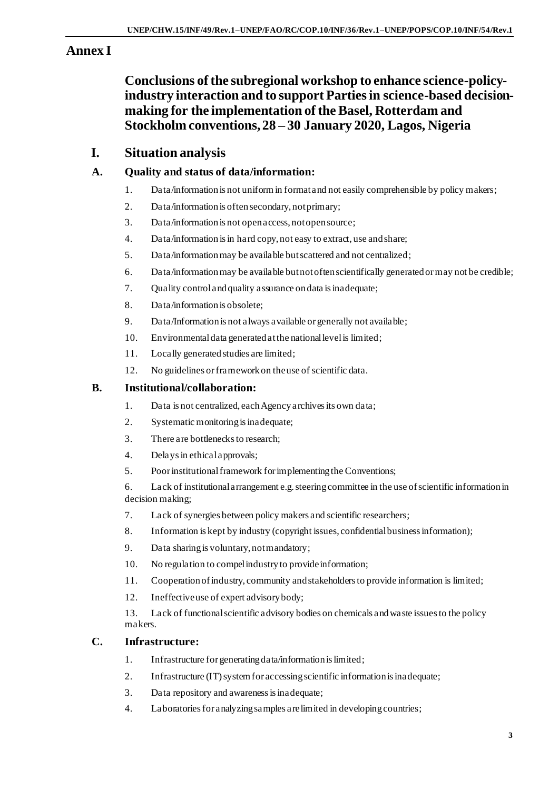# **Annex I**

**Conclusions of the subregional workshop to enhance science-policyindustry interaction and to support Parties in science-based decisionmaking for the implementation of the Basel, Rotterdam and Stockholm conventions, 28 – 30 January 2020, Lagos, Nigeria**

# **I. Situation analysis**

## **A. Quality and status of data/information:**

- 1. Data/information is not uniform in format and not easily comprehensible by policy makers;
- 2. Data/information is often secondary, not primary;
- 3. Data/information is not open access, not open source;
- 4. Data/information is in hard copy, not easy to extract, use and share;
- 5. Data/information may be available but scattered and not centralized;
- 6. Data/information may be available but not often scientifically generated or may not be credible;
- 7. Quality control and quality assurance on data is inadequate;
- 8. Data/information is obsolete;
- 9. Data/Information is not always available or generally not available;
- 10. Environmental data generated at the national level is limited;
- 11. Locally generated studies are limited;
- 12. No guidelines or framework on the use of scientific data.

# **B. Institutional/collaboration:**

- 1. Data is not centralized, each Agency archives its own data;
- 2. Systematic monitoring is inadequate;
- 3. There are bottlenecks to research;
- 4. Delays in ethical approvals;
- 5. Poor institutional framework for implementing the Conventions;

6. Lack of institutional arrangement e.g. steering committee in the use of scientific information in decision making;

- 7. Lack of synergies between policy makers and scientific researchers;
- 8. Information is kept by industry (copyright issues, confidential business information);
- 9. Data sharing is voluntary, not mandatory;
- 10. No regulation to compel industry to provide information;
- 11. Cooperation of industry, community and stakeholders to provide information is limited;
- 12. Ineffective use of expert advisory body;

13. Lack of functional scientific advisory bodies on chemicals and waste issues to the policy makers.

## **C. Infrastructure:**

- 1. Infrastructure for generating data/information is limited;
- 2. Infrastructure (IT) system for accessing scientific information is inadequate;
- 3. Data repository and awareness is inadequate;
- 4. Laboratories for analyzing samples are limited in developing countries;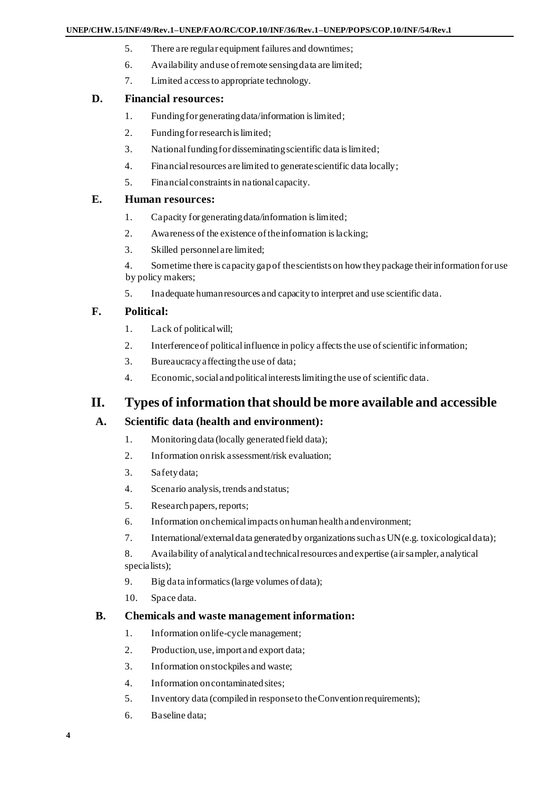- 5. There are regular equipment failures and downtimes;
- 6. Availability and use of remote sensing data are limited;
- 7. Limited access to appropriate technology.

## **D. Financial resources:**

- 1. Funding for generating data/information is limited;
- 2. Funding for research is limited;
- 3. National funding for disseminating scientific data is limited;
- 4. Financial resources are limited to generate scientific data locally;
- 5. Financial constraints in national capacity.

### **E. Human resources:**

- 1. Capacity for generating data/information is limited;
- 2. Awareness of the existence of the information is lacking;
- 3. Skilled personnel are limited;
- 4. Sometime there is capacity gap of the scientists on how they package their information for use by policy makers;
- 5. Inadequate human resources and capacity to interpret and use scientific data.

### **F. Political:**

- 1. Lack of political will;
- 2. Interference of political influence in policy affects the use of scientific information;
- 3. Bureaucracy affecting the use of data;
- 4. Economic, social and political interests limiting the use of scientific data.

# **II. Types of information that should be more available and accessible**

### **A. Scientific data (health and environment):**

- 1. Monitoring data (locally generated field data);
- 2. Information on risk assessment/risk evaluation;
- 3. Safety data;
- 4. Scenario analysis, trends and status;
- 5. Research papers, reports;
- 6. Information on chemical impacts on human health and environment;
- 7. International/external data generated by organizations such as UN (e.g. toxicological data);

8. Availability of analytical and technical resources and expertise (air sampler, analytical specialists);

- 9. Big data informatics (large volumes of data);
- 10. Space data.

## **B. Chemicals and waste management information:**

- 1. Information on life-cycle management;
- 2. Production, use, import and export data;
- 3. Information on stockpiles and waste;
- 4. Information on contaminated sites;
- 5. Inventory data (compiled in response to the Convention requirements);
- 6. Baseline data;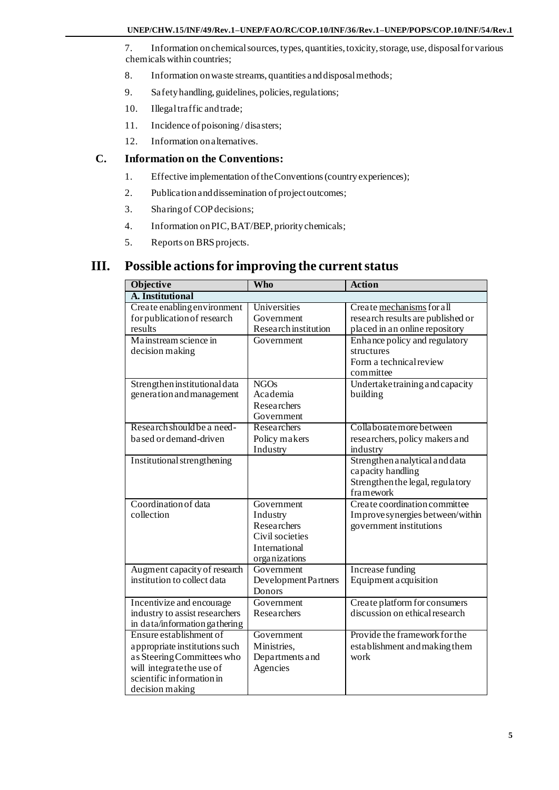7. Information on chemical sources, types, quantities, toxicity, storage, use, disposal for various chemicals within countries;

- 8. Information on waste streams, quantities and disposal methods;
- 9. Safety handling, guidelines, policies, regulations;
- 10. Illegal traffic and trade;
- 11. Incidence of poisoning / disasters;
- 12. Information on alternatives.

### **C. Information on the Conventions:**

- 1. Effective implementation of the Conventions (country experiences);
- 2. Publication and dissemination of project outcomes;
- 3. Sharing of COP decisions;
- 4. Information on PIC, BAT/BEP, priority chemicals;
- 5. Reports on BRS projects.

# **III. Possible actions for improving the current status**

| Objective                      | <b>Who</b>           | <b>Action</b>                     |
|--------------------------------|----------------------|-----------------------------------|
| A. Institutional               |                      |                                   |
| Create enabling environment    | Universities         | Create mechanisms for all         |
| for publication of research    | Government           | research results are published or |
| results                        | Research institution | placed in an online repository    |
| Mainstream science in          | Government           | Enhance policy and regulatory     |
| decision making                |                      | structures                        |
|                                |                      | Form a technical review           |
|                                |                      | committee                         |
| Strengthen institutional data  | <b>NGOs</b>          | Undertake training and capacity   |
| generation and management      | Academia             | building                          |
|                                | Researchers          |                                   |
|                                | Government           |                                   |
| Research should be a need-     | Researchers          | Collaborate more between          |
| based or demand-driven         | Policy makers        | researchers, policy makers and    |
|                                | Industry             | industry                          |
| Institutional strengthening    |                      | Strengthen analytical and data    |
|                                |                      | capacity handling                 |
|                                |                      | Strengthen the legal, regulatory  |
|                                |                      | framework                         |
| Coordination of data           | Government           | Create coordination committee     |
| collection                     | Industry             | Improve synergies between/within  |
|                                | Researchers          | government institutions           |
|                                | Civil societies      |                                   |
|                                | International        |                                   |
|                                | organizations        |                                   |
| Augment capacity of research   | Government           | Increase funding                  |
| institution to collect data    | Development Partners | Equipment acquisition             |
|                                | Donors               |                                   |
| Incentivize and encourage      | Government           | Create platform for consumers     |
| industry to assist researchers | Researchers          | discussion on ethical research    |
| in data/information gathering  |                      |                                   |
| Ensure establishment of        | Government           | Provide the framework for the     |
| appropriate institutions such  | Ministries,          | establishment and making them     |
| as Steering Committees who     | Departments and      | work                              |
| will integrate the use of      | Agencies             |                                   |
| scientific information in      |                      |                                   |
| decision making                |                      |                                   |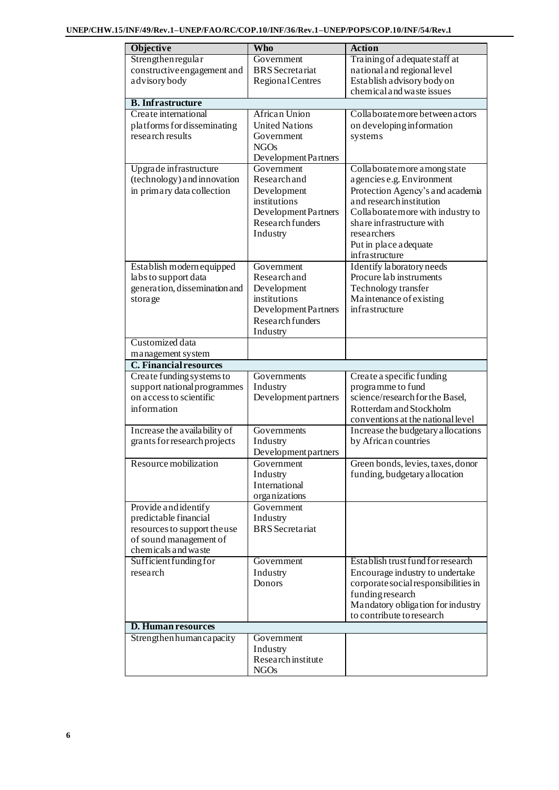| <b>Objective</b>              | <b>Who</b>                           | <b>Action</b>                        |  |  |
|-------------------------------|--------------------------------------|--------------------------------------|--|--|
| Strengthen regular            | Government                           | Training of a dequate staff at       |  |  |
| constructive engagement and   | <b>BRS</b> Secretariat               | national and regional level          |  |  |
| advisory body                 | Regional Centres                     | Establish advisory body on           |  |  |
|                               |                                      | chemical and waste issues            |  |  |
| <b>B.</b> Infrastructure      |                                      |                                      |  |  |
| Create international          | <b>African Union</b>                 | Collaborate more between actors      |  |  |
| platforms for disseminating   | <b>United Nations</b>                | on developing information            |  |  |
| research results              | Government                           | systems                              |  |  |
|                               | NGOs                                 |                                      |  |  |
|                               | Development Partners                 |                                      |  |  |
| Upgrade infrastructure        | Government                           | Collaborate more a mong state        |  |  |
| (technology) and innovation   | Researchand                          | a gencies e.g. Environment           |  |  |
| in primary data collection    | Development                          | Protection Agency's and academia     |  |  |
|                               | institutions                         | and research institution             |  |  |
|                               | Development Partners                 | Collaborate more with industry to    |  |  |
|                               | Research funders                     | share infrastructure with            |  |  |
|                               | Industry                             | researchers                          |  |  |
|                               |                                      | Put in place adequate                |  |  |
|                               |                                      | infrastructure                       |  |  |
| Establish modern equipped     | Government                           | Identify laboratory needs            |  |  |
| labs to support data          | Research and                         | Procure lab instruments              |  |  |
| generation, dissemination and | Development                          | Technology transfer                  |  |  |
| storage                       | institutions                         | Maintenance of existing              |  |  |
|                               | Development Partners                 | <i>infrastructure</i>                |  |  |
|                               | Research funders                     |                                      |  |  |
|                               | Industry                             |                                      |  |  |
| Customized data               |                                      |                                      |  |  |
| management system             |                                      |                                      |  |  |
| <b>C. Financial resources</b> |                                      |                                      |  |  |
| Create funding systems to     | Governments                          | Create a specific funding            |  |  |
| support national programmes   | Industry                             | programme to fund                    |  |  |
| on access to scientific       | Development partners                 | science/research for the Basel,      |  |  |
| information                   |                                      | Rotterdam and Stockholm              |  |  |
|                               |                                      | conventions at the national level    |  |  |
| Increase the a vailability of | Governments                          | Increase the budgetary allocations   |  |  |
| grants for research projects  | Industry                             | by African countries                 |  |  |
|                               | Development partners                 |                                      |  |  |
| Resource mobilization         | Government                           | Green bonds, levies, taxes, donor    |  |  |
|                               | Industry                             | funding, budgetary allocation        |  |  |
|                               | International                        |                                      |  |  |
|                               | organizations                        |                                      |  |  |
| Provide and identify          | $\overline{G}$ <sub>o</sub> vernment |                                      |  |  |
| predictable financial         | Industry                             |                                      |  |  |
| resources to support the use  | <b>BRS</b> Secretariat               |                                      |  |  |
| of sound management of        |                                      |                                      |  |  |
| chemicals and waste           |                                      |                                      |  |  |
| Sufficient funding for        | Government                           | Establish trust fund for research    |  |  |
| research                      | Industry                             | Encourage industry to undertake      |  |  |
|                               | Donors                               | corporate social responsibilities in |  |  |
|                               |                                      | funding research                     |  |  |
|                               |                                      | Mandatory obligation for industry    |  |  |
|                               |                                      | to contribute to research            |  |  |
| D. Human resources            |                                      |                                      |  |  |
| Strengthen human capacity     | Government                           |                                      |  |  |
|                               | Industry                             |                                      |  |  |
|                               | Research institute                   |                                      |  |  |
|                               | <b>NGOs</b>                          |                                      |  |  |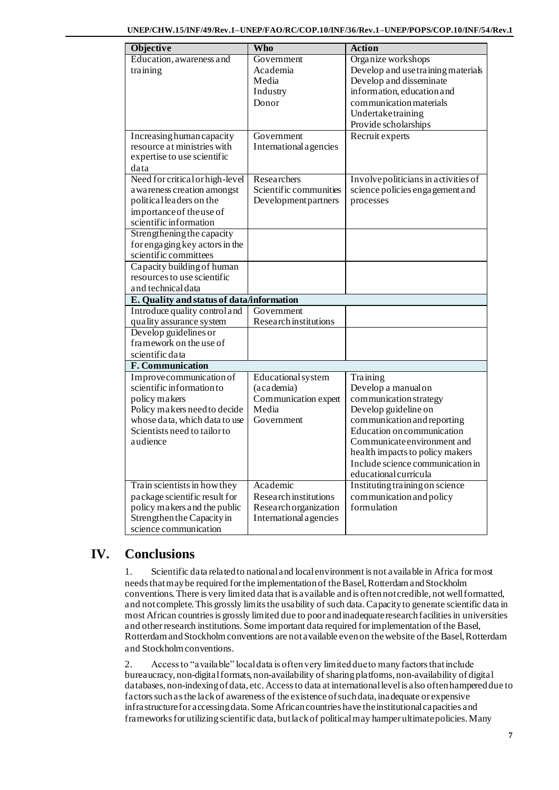| <b>Objective</b>                                                | Who                          | <b>Action</b>                        |
|-----------------------------------------------------------------|------------------------------|--------------------------------------|
| Education, awareness and                                        | Government                   | Organize workshops                   |
| training                                                        | Academia                     | Develop and use training materials   |
|                                                                 | Media                        | Develop and disseminate              |
|                                                                 | Industry                     | information, education and           |
|                                                                 | Donor                        | communication materials              |
|                                                                 |                              | Undertaketraining                    |
|                                                                 |                              | Provide scholarships                 |
| Increasing human capacity                                       | Government                   | Recruit experts                      |
| resource at ministries with                                     | International a gencies      |                                      |
| expertise to use scientific                                     |                              |                                      |
| data                                                            |                              |                                      |
| Need for critical or high-level                                 | Researchers                  | Involve politicians in activities of |
| a wareness creation amongst                                     | Scientific communities       | science policies engagement and      |
| political leaders on the                                        | Development partners         | processes                            |
| importance of the use of                                        |                              |                                      |
| scientific information                                          |                              |                                      |
| Strengthening the capacity                                      |                              |                                      |
| for engaging key actors in the                                  |                              |                                      |
| scientific committees                                           |                              |                                      |
| Capacity building of human                                      |                              |                                      |
| resources to use scientific                                     |                              |                                      |
| and technical data<br>E. Quality and status of data/information |                              |                                      |
| Introduce quality control and                                   | Government                   |                                      |
| quality assurance system                                        | <b>Research institutions</b> |                                      |
| Develop guidelines or                                           |                              |                                      |
| framework on the use of                                         |                              |                                      |
| scientific data                                                 |                              |                                      |
| <b>F. Communication</b>                                         |                              |                                      |
| Improvecommunication of                                         | Educational system           | Training                             |
| scientific information to                                       | (academia)                   | Develop a manual on                  |
| policy makers                                                   | Communication expert         | communication strategy               |
| Policy makers need to decide                                    | Media                        | Develop guideline on                 |
| whose data, which data to use                                   | Government                   | communication and reporting          |
| Scientists need to tailor to                                    |                              | Education on communication           |
| audience                                                        |                              | Communicate environment and          |
|                                                                 |                              | health impacts to policy makers      |
|                                                                 |                              | Include science communication in     |
|                                                                 |                              | educational curricula                |
| Train scientists in how they                                    | Academic                     | Instituting training on science      |
| package scientific result for                                   | <b>Research institutions</b> | communication and policy             |
| policy makers and the public                                    | Research organization        | formulation                          |
| Strengthen the Capacity in                                      | International a gencies      |                                      |
| science communication                                           |                              |                                      |

# **IV. Conclusions**

1. Scientific data related to national and local environment is not available in Africa for most needs that may be required for the implementation of the Basel, Rotterdam and Stockholm conventions. There is very limited data that is available andis often not credible, not well formatted, and not complete. This grossly limits the usability of such data.Capacity to generate scientific data in most African countries is grossly limited due to poor and inadequate research facilities in universities and other research institutions. Some important data required for implementation of the Basel, Rotterdam and Stockholm conventions are not available even on the website of the Basel, Rotterdam and Stockholm conventions.

2. Access to "available" local data is often very limited due to many factors that include bureaucracy, non-digital formats, non-availability of sharing platforms, non-availability of digital databases, non-indexing of data, etc. Access to data at international level is also often hampered due to factors such as the lack of awareness of the existence of such data, inadequate or expensive infrastructure for accessing data. Some African countries have the institutional capacities and frameworks for utilizingscientific data, but lack of political may hamper ultimate policies. Many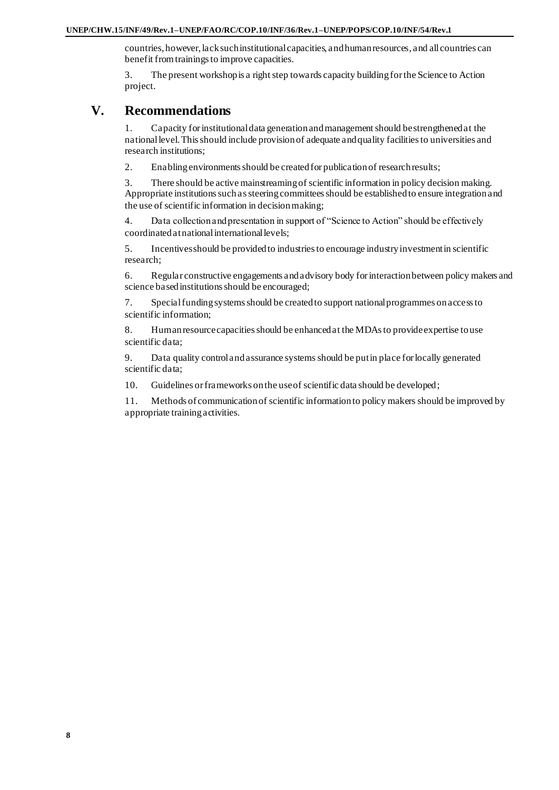countries, however, lack such institutional capacities, and human resources, and all countries can benefit from trainings to improve capacities.

3. The present workshop is a right step towards capacity building for the Science to Action project.

## **V. Recommendations**

1. Capacity for institutional data generation and management should be strengthened at the national level. This should include provision of adequate and quality facilities to universities and research institutions;

2. Enabling environments should be created for publication of research results;

3. There should be active mainstreaming of scientific information in policy decision making. Appropriate institutions such as steering committees should be established to ensure integration and the use of scientific information in decision making;

4. Data collection and presentation in support of "Science to Action" should be effectively coordinated at national international levels;

5. Incentives should be provided to industries to encourage industry investment in scientific research;

6. Regular constructive engagements and advisory body for interaction between policy makers and science based institutions should be encouraged;

7. Special funding systems should be created to support national programmes on access to scientific information;

8. Human resource capacities should be enhanced at the MDAs to provide expertise to use scientific data;

9. Data quality control and assurance systems should be put in place for locally generated scientific data;

10. Guidelines or frameworks on the use of scientific data should be developed;

11. Methods of communication of scientific information to policy makers should be improved by appropriate training activities.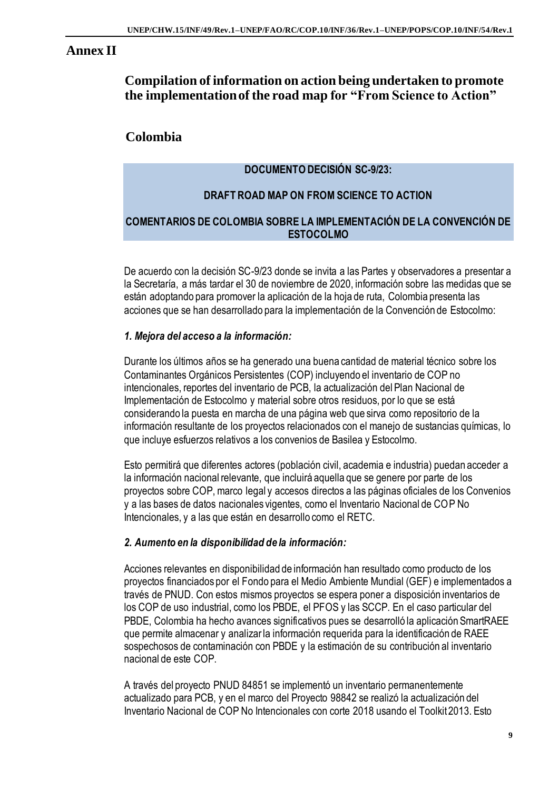# **Annex II**

# **Compilation of information on action being undertaken to promote the implementation of the road map for "From Science to Action"**

# **Colombia**

# **DOCUMENTO DECISIÓN SC-9/23:**

# **DRAFT ROAD MAP ON FROM SCIENCE TO ACTION**

## **COMENTARIOS DE COLOMBIA SOBRE LA IMPLEMENTACIÓN DE LA CONVENCIÓN DE ESTOCOLMO**

De acuerdo con la decisión SC-9/23 donde se invita a las Partes y observadores a presentar a la Secretaría, a más tardar el 30 de noviembre de 2020, información sobre las medidas que se están adoptando para promover la aplicación de la hoja de ruta, Colombia presenta las acciones que se han desarrollado para la implementación de la Convención de Estocolmo:

## *1. Mejora del acceso a la información:*

Durante los últimos años se ha generado una buena cantidad de material técnico sobre los Contaminantes Orgánicos Persistentes (COP) incluyendo el inventario de COP no intencionales, reportes del inventario de PCB, la actualización del Plan Nacional de Implementación de Estocolmo y material sobre otros residuos, por lo que se está considerando la puesta en marcha de una página web que sirva como repositorio de la información resultante de los proyectos relacionados con el manejo de sustancias químicas, lo que incluye esfuerzos relativos a los convenios de Basilea y Estocolmo.

Esto permitirá que diferentes actores (población civil, academia e industria) puedan acceder a la información nacional relevante, que incluirá aquella que se genere por parte de los proyectos sobre COP, marco legal y accesos directos a las páginas oficiales de los Convenios y a las bases de datos nacionales vigentes, como el Inventario Nacional de COP No Intencionales, y a las que están en desarrollo como el RETC.

## *2. Aumento en la disponibilidad de la información:*

Acciones relevantes en disponibilidad de información han resultado como producto de los proyectos financiados por el Fondo para el Medio Ambiente Mundial (GEF) e implementados a través de PNUD. Con estos mismos proyectos se espera poner a disposición inventarios de los COP de uso industrial, como los PBDE, el PFOS y las SCCP. En el caso particular del PBDE, Colombia ha hecho avances significativos pues se desarrolló la aplicación SmartRAEE que permite almacenar y analizar la información requerida para la identificación de RAEE sospechosos de contaminación con PBDE y la estimación de su contribución al inventario nacional de este COP.

A través del proyecto PNUD 84851 se implementó un inventario permanentemente actualizado para PCB, y en el marco del Proyecto 98842 se realizó la actualización del Inventario Nacional de COP No Intencionales con corte 2018 usando el Toolkit 2013. Esto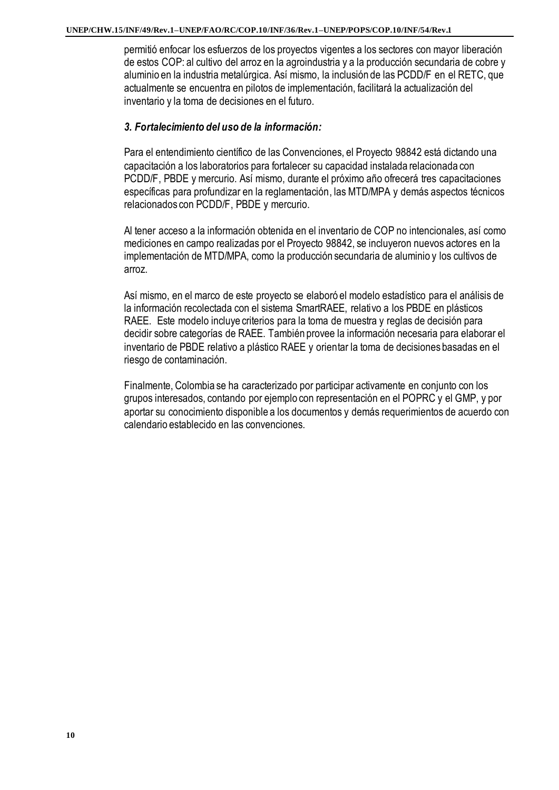permitió enfocar los esfuerzos de los proyectos vigentes a los sectores con mayor liberación de estos COP: al cultivo del arroz en la agroindustria y a la producción secundaria de cobre y aluminio en la industria metalúrgica. Así mismo, la inclusión de las PCDD/F en el RETC, que actualmente se encuentra en pilotos de implementación, facilitará la actualización del inventario y la toma de decisiones en el futuro.

## *3. Fortalecimiento del uso de la información:*

Para el entendimiento científico de las Convenciones, el Proyecto 98842 está dictando una capacitación a los laboratorios para fortalecer su capacidad instalada relacionada con PCDD/F, PBDE y mercurio. Así mismo, durante el próximo año ofrecerá tres capacitaciones específicas para profundizar en la reglamentación, las MTD/MPA y demás aspectos técnicos relacionados con PCDD/F, PBDE y mercurio.

Al tener acceso a la información obtenida en el inventario de COP no intencionales, así como mediciones en campo realizadas por el Proyecto 98842, se incluyeron nuevos actores en la implementación de MTD/MPA, como la producción secundaria de aluminio y los cultivos de arroz.

Así mismo, en el marco de este proyecto se elaboró el modelo estadístico para el análisis de la información recolectada con el sistema SmartRAEE, relativo a los PBDE en plásticos RAEE. Este modelo incluye criterios para la toma de muestra y reglas de decisión para decidir sobre categorías de RAEE. También provee la información necesaria para elaborar el inventario de PBDE relativo a plástico RAEE y orientar la toma de decisiones basadas en el riesgo de contaminación.

Finalmente, Colombia se ha caracterizado por participar activamente en conjunto con los grupos interesados, contando por ejemplo con representación en el POPRC y el GMP, y por aportar su conocimiento disponible a los documentos y demás requerimientos de acuerdo con calendario establecido en las convenciones.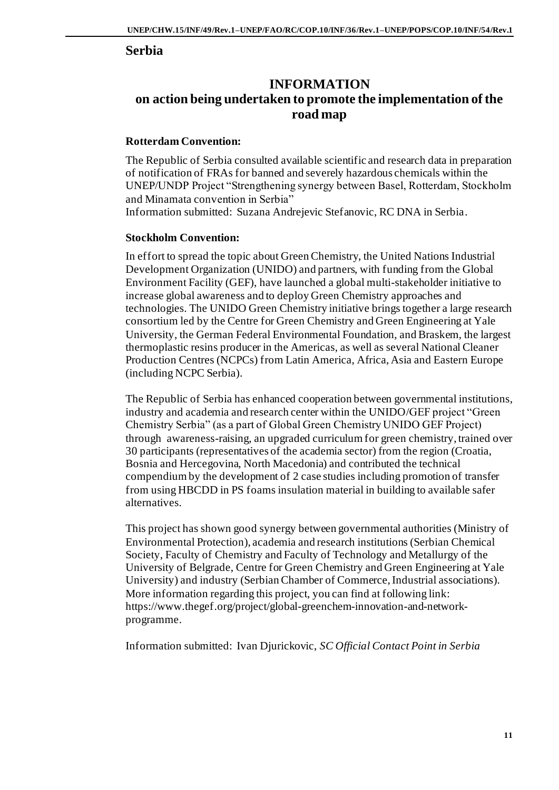## **Serbia**

# **INFORMATION on action being undertaken to promote the implementation of the road map**

## **Rotterdam Convention:**

The Republic of Serbia consulted available scientific and research data in preparation of notification of FRAs for banned and severely hazardous chemicals within the UNEP/UNDP Project "Strengthening synergy between Basel, Rotterdam, Stockholm and Minamata convention in Serbia"

Information submitted: Suzana Andrejevic Stefanovic, RC DNA in Serbia.

## **Stockholm Convention:**

In effort to spread the topic about Green Chemistry, the United Nations Industrial Development Organization (UNIDO) and partners, with funding from the Global Environment Facility (GEF), have launched a global multi-stakeholder initiative to increase global awareness and to deploy Green Chemistry approaches and technologies. The UNIDO Green Chemistry initiative brings together a large research consortium led by the Centre for Green Chemistry and Green Engineering at Yale University, the German Federal Environmental Foundation, and Braskem, the largest thermoplastic resins producer in the Americas, as well as several National Cleaner Production Centres (NCPCs) from Latin America, Africa, Asia and Eastern Europe (including NCPC Serbia).

The Republic of Serbia has enhanced cooperation between governmental institutions, industry and academia and research center within the UNIDO/GEF project "Green Chemistry Serbia" (as a part of Global Green Chemistry UNIDO GEF Project) through awareness-raising, an upgraded curriculum for green chemistry, trained over 30 participants (representatives of the academia sector) from the region (Croatia, Bosnia and Hercegovina, North Macedonia) and contributed the technical compendium by the development of 2 case studies including promotion of transfer from using HBCDD in PS foams insulation material in building to available safer alternatives.

This project has shown good synergy between governmental authorities (Ministry of Environmental Protection), academia and research institutions (Serbian Chemical Society, Faculty of Chemistry and Faculty of Technology and Metallurgy of the University of Belgrade, Centre for Green Chemistry and Green Engineering at Yale University) and industry (Serbian Chamber of Commerce, Industrial associations). More information regarding this project, you can find at following link: [https://www.thegef.org/project/global-greenchem-innovation-and-network](https://www.thegef.org/project/global-greenchem-innovation-and-network-programme)[programme.](https://www.thegef.org/project/global-greenchem-innovation-and-network-programme)

Information submitted: Ivan Djurickovic, *SC Official Contact Point in Serbia*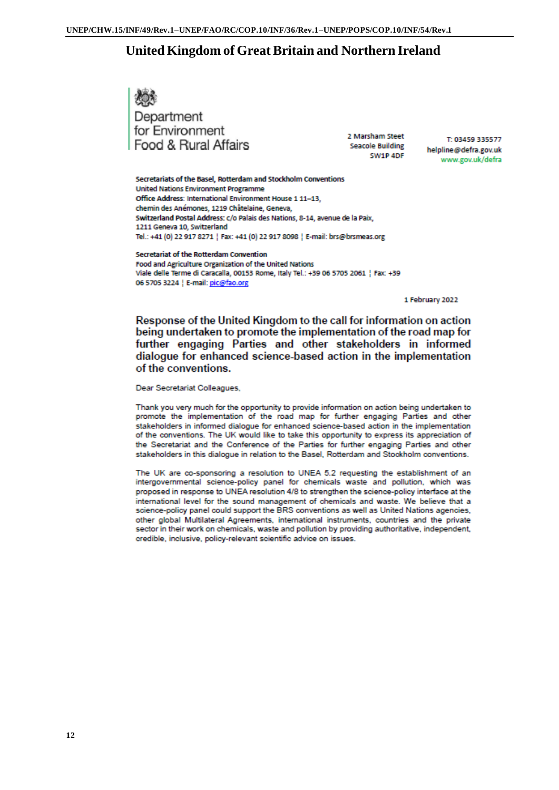## **United Kingdom of Great Britain and Northern Ireland**

Department for Environment Food & Rural Affairs

2 Marsham Steet Seacole Building SW1P 4DF

T: 03459 335577 helpline@defra.gov.uk www.gov.uk/defra

Secretariats of the Basel, Rotterdam and Stockholm Conventions **United Nations Environment Programme** Office Address: International Environment House 1 11-13, chemin des Anémones, 1219 Châtelaine, Geneva, Switzerland Postal Address: c/o Palais des Nations, 8-14, avenue de la Paix, 1211 Geneva 10, Switzerland Tel.: +41 (0) 22 917 8271 | Fax: +41 (0) 22 917 8098 | E-mail: brs@brsmeas.org

Secretariat of the Rotterdam Convention Food and Agriculture Organization of the United Nations Viale delle Terme di Caracalla, 00153 Rome, Italy Tel.: +39 06 5705 2061 | Fax: +39 06 5705 3224 | E-mail: pic@fao.org

1 February 2022

Response of the United Kingdom to the call for information on action being undertaken to promote the implementation of the road map for further engaging Parties and other stakeholders in informed dialogue for enhanced science-based action in the implementation of the conventions.

Dear Secretariat Colleagues,

Thank you very much for the opportunity to provide information on action being undertaken to promote the implementation of the road map for further engaging Parties and other stakeholders in informed dialogue for enhanced science-based action in the implementation of the conventions. The UK would like to take this opportunity to express its appreciation of the Secretariat and the Conference of the Parties for further engaging Parties and other stakeholders in this dialogue in relation to the Basel, Rotterdam and Stockholm conventions.

The UK are co-sponsoring a resolution to UNEA 5.2 requesting the establishment of an intergovernmental science-policy panel for chemicals waste and pollution, which was proposed in response to UNEA resolution 4/8 to strengthen the science-policy interface at the international level for the sound management of chemicals and waste. We believe that a science-policy panel could support the BRS conventions as well as United Nations agencies, other global Multilateral Agreements, international instruments, countries and the private sector in their work on chemicals, waste and pollution by providing authoritative, independent, credible, inclusive, policy-relevant scientific advice on issues.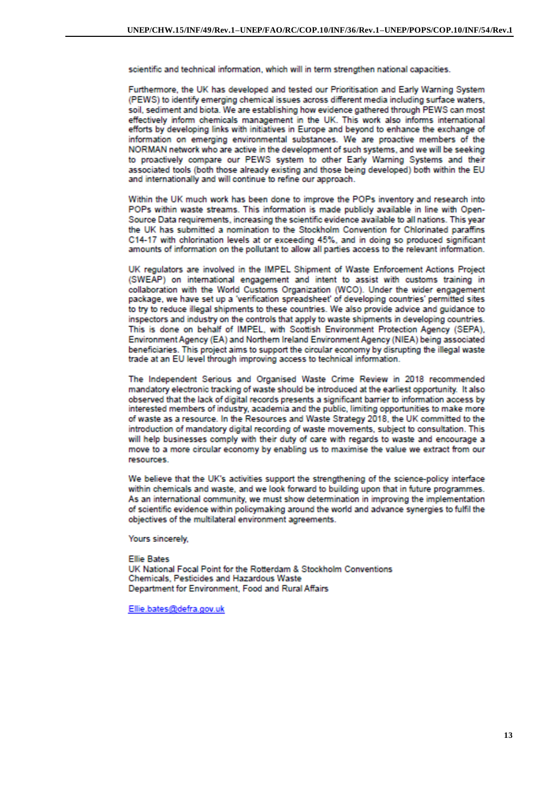scientific and technical information, which will in term strengthen national capacities.

Furthermore, the UK has developed and tested our Prioritisation and Early Warning System (PEWS) to identify emerging chemical issues across different media including surface waters, soil, sediment and biota. We are establishing how evidence gathered through PEWS can most effectively inform chemicals management in the UK. This work also informs international efforts by developing links with initiatives in Europe and beyond to enhance the exchange of information on emerging environmental substances. We are proactive members of the NORMAN network who are active in the development of such systems, and we will be seeking to proactively compare our PEWS system to other Early Warning Systems and their associated tools (both those already existing and those being developed) both within the EU and internationally and will continue to refine our approach.

Within the UK much work has been done to improve the POPs inventory and research into POPs within waste streams. This information is made publicly available in line with Open-Source Data requirements, increasing the scientific evidence available to all nations. This year the UK has submitted a nomination to the Stockholm Convention for Chlorinated paraffins C14-17 with chlorination levels at or exceeding 45%, and in doing so produced significant amounts of information on the pollutant to allow all parties access to the relevant information.

UK regulators are involved in the IMPEL Shipment of Waste Enforcement Actions Project (SWEAP) on international engagement and intent to assist with customs training in collaboration with the World Customs Organization (WCO). Under the wider engagement package, we have set up a 'verification spreadsheet' of developing countries' permitted sites to try to reduce illegal shipments to these countries. We also provide advice and guidance to inspectors and industry on the controls that apply to waste shipments in developing countries. This is done on behalf of IMPEL, with Scottish Environment Protection Agency (SEPA), Environment Agency (EA) and Northern Ireland Environment Agency (NIEA) being associated beneficiaries. This project aims to support the circular economy by disrupting the illegal waste trade at an EU level through improving access to technical information.

The Independent Serious and Organised Waste Crime Review in 2018 recommended mandatory electronic tracking of waste should be introduced at the earliest opportunity. It also observed that the lack of digital records presents a significant barrier to information access by interested members of industry, academia and the public, limiting opportunities to make more of waste as a resource. In the Resources and Waste Strategy 2018, the UK committed to the introduction of mandatory digital recording of waste movements, subject to consultation. This will help businesses comply with their duty of care with regards to waste and encourage a move to a more circular economy by enabling us to maximise the value we extract from our resources.

We believe that the UK's activities support the strengthening of the science-policy interface within chemicals and waste, and we look forward to building upon that in future programmes. As an international community, we must show determination in improving the implementation of scientific evidence within policymaking around the world and advance synergies to fulfil the objectives of the multilateral environment agreements.

Yours sincerely,

**Ellie Bates** UK National Focal Point for the Rotterdam & Stockholm Conventions Chemicals, Pesticides and Hazardous Waste Department for Environment, Food and Rural Affairs

Ellie.bates@defra.gov.uk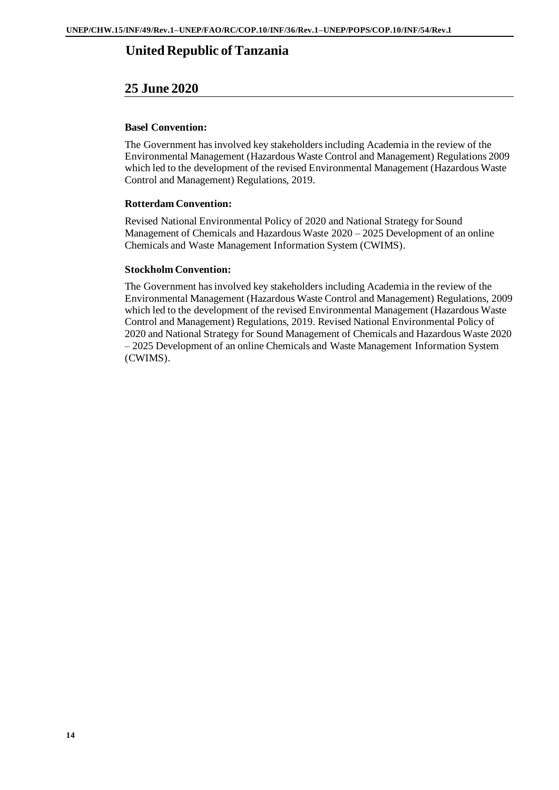## **United Republic of Tanzania**

## **25 June 2020**

### **Basel Convention:**

The Government has involved key stakeholders including Academia in the review of the Environmental Management (Hazardous Waste Control and Management) Regulations 2009 which led to the development of the revised Environmental Management (Hazardous Waste Control and Management) Regulations, 2019.

### **Rotterdam Convention:**

Revised National Environmental Policy of 2020 and National Strategy for Sound Management of Chemicals and Hazardous Waste 2020 – 2025 Development of an online Chemicals and Waste Management Information System (CWIMS).

### **Stockholm Convention:**

The Government has involved key stakeholders including Academia in the review of the Environmental Management (Hazardous Waste Control and Management) Regulations, 2009 which led to the development of the revised Environmental Management (Hazardous Waste Control and Management) Regulations, 2019. Revised National Environmental Policy of 2020 and National Strategy for Sound Management of Chemicals and Hazardous Waste 2020 – 2025 Development of an online Chemicals and Waste Management Information System (CWIMS).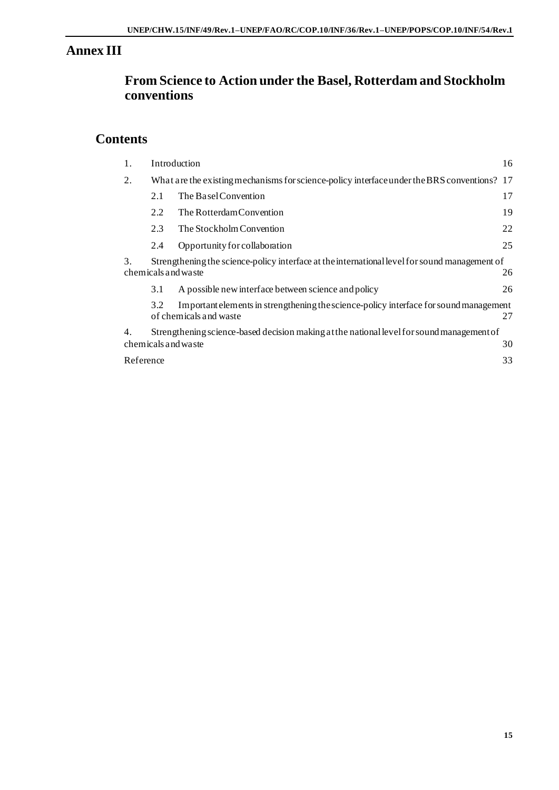# **Annex III**

# **From Science to Action under the Basel, Rotterdam and Stockholm conventions**

# **Contents**

| 1.                                                                                                                         | Introduction                                                                                |                                                                                                                 | 16 |
|----------------------------------------------------------------------------------------------------------------------------|---------------------------------------------------------------------------------------------|-----------------------------------------------------------------------------------------------------------------|----|
| 2.                                                                                                                         | What are the existing mechanisms for science-policy interface under the BRS conventions? 17 |                                                                                                                 |    |
|                                                                                                                            | 2.1                                                                                         | The Basel Convention                                                                                            | 17 |
|                                                                                                                            | 2.2                                                                                         | The Rotterdam Convention                                                                                        | 19 |
|                                                                                                                            | 2.3                                                                                         | The Stockholm Convention                                                                                        | 22 |
|                                                                                                                            | 2.4                                                                                         | Opportunity for collaboration                                                                                   | 25 |
| Strengthening the science-policy interface at the international level for sound management of<br>3.<br>chemicals and waste |                                                                                             |                                                                                                                 | 26 |
|                                                                                                                            | 3.1                                                                                         | A possible new interface between science and policy                                                             | 26 |
|                                                                                                                            | 3.2                                                                                         | Important elements in strengthening the science-policy interface for sound management<br>of chemicals and waste | 27 |
| 4.                                                                                                                         | Strengthening science-based decision making a the national level for sound management of    |                                                                                                                 |    |
|                                                                                                                            |                                                                                             | chemicals and waste                                                                                             | 30 |
| Reference                                                                                                                  |                                                                                             |                                                                                                                 | 33 |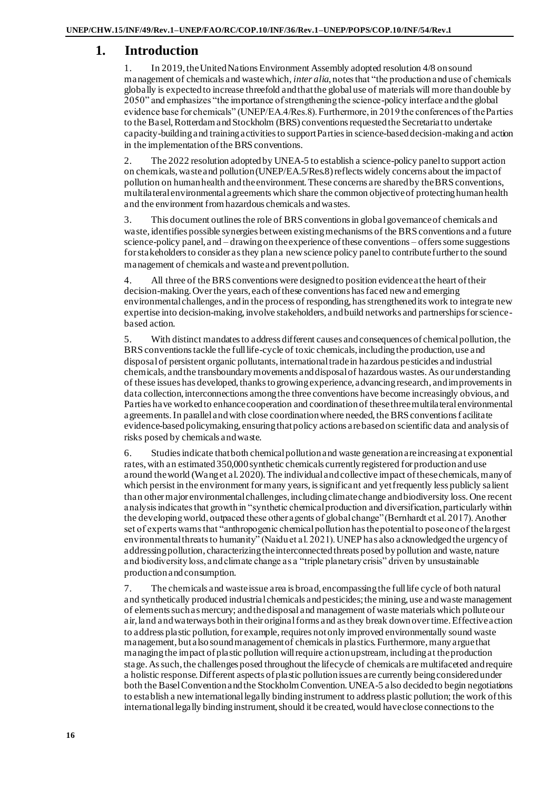## **1. Introduction**

1. In 2019, the United Nations Environment Assembly adopted resolution 4/8 on sound management of chemicals and waste which, *inter alia*, notes that "the production and use of chemicals globally is expected to increase threefold and that the global use of materials will more than double by 2050" and emphasizes "the importance of strengthening the science-policy interface and the global evidence base for chemicals" (UNEP/EA.4/Res.8). Furthermore, in 2019 the conferences of the Parties to the Basel, Rotterdam and Stockholm (BRS) conventions requested the Secretariat to undertake capacity-building and training activities to support Parties in science-based decision-making and action in the implementation of the BRS conventions.

2. The 2022 resolution adopted by UNEA-5 to establish a science-policy panel to support action on chemicals, waste and pollution (UNEP/EA.5/Res.8) reflects widely concerns about the impact of pollution on human health and the environment. These concerns are shared by the BRS conventions, multilateral environmental agreements which share the common objective of protecting human health and the environment from hazardous chemicals and wastes.

3. This document outlines the role of BRS conventions in global governance of chemicals and waste, identifies possible synergies between existing mechanisms of the BRS conventions and a future science-policy panel, and – drawing on the experience of these conventions – offers some suggestions for stakeholders to consider as they plan a new science policy panel to contribute further to the sound management of chemicals and waste and prevent pollution.

4. All three of the BRS conventions were designed to position evidence at the heart of their decision-making. Over the years, each of these conventions has faced new and emerging environmental challenges, and in the process of responding, has strengthened its work to integrate new expertise into decision-making, involve stakeholders, and build networks and partnerships for sciencebased action.

5. With distinct mandates to address different causes and consequences of chemical pollution, the BRS conventions tackle the full life-cycle of toxic chemicals, including the production, use and disposal of persistent organic pollutants, international trade in hazardous pesticides and industrial chemicals, and the transboundary movements and disposal of hazardous wastes. As our understanding of these issues has developed, thanks to growing experience, advancing research, and improvements in data collection, interconnections among the three conventions have become increasingly obvious, and Parties have worked to enhance cooperation and coordination of these three multilateral environmental agreements. In parallel and with close coordination where needed, the BRS conventions f acilitate evidence-based policymaking, ensuring that policy actions are based on scientific data and analysis of risks posed by chemicals and waste.

6. Studies indicate that both chemical pollution and waste generation are increasing at exponential rates, with an estimated 350,000 synthetic chemicals currently registered for production and use around the world (Wang et al. 2020). The individual and collective impact of these chemicals, many of which persist in the environment for many years, is significant and yet frequently less publicly salient than other major environmental challenges, including climate change and biodiversity loss. One recent analysis indicates that growth in "synthetic chemical production and diversification, particularly within the developing world, outpaced these other agents of global change" (Bernhardt et al. 2017). Another set of experts warns that "anthropogenic chemical pollution has the potential to pose one of the largest environmental threats to humanity" (Naidu et al. 2021). UNEP has also acknowledged the urgency of addressing pollution, characterizing the interconnected threats posed by pollution and waste, nature and biodiversity loss, and climate change as a "triple planetary crisis" driven by unsustainable production and consumption.

7. The chemicals and waste issue area is broad, encompassing the full life cycle of both natural and synthetically produced industrial chemicals and pesticides; the mining, use and waste management of elements such as mercury; and the disposal and management of waste materials which pollute our air, land and waterways both in their original forms and as they break down over time. Effective action to address plastic pollution, for example, requires not only improved environmentally sound waste management, but also sound management of chemicals in plastics. Furthermore, many argue that managing the impact of plastic pollution will require action upstream, including at the production stage. As such, the challenges posed throughout the lifecycle of chemicals are multifaceted and require a holistic response. Different aspects of plastic pollution issues are currently being considered under both the Basel Convention and the Stockholm Convention. UNEA-5 also decided to begin negotiations to establish a new international legally binding instrument to address plastic pollution; the work of this international legally binding instrument, should it be created, would have close connections to the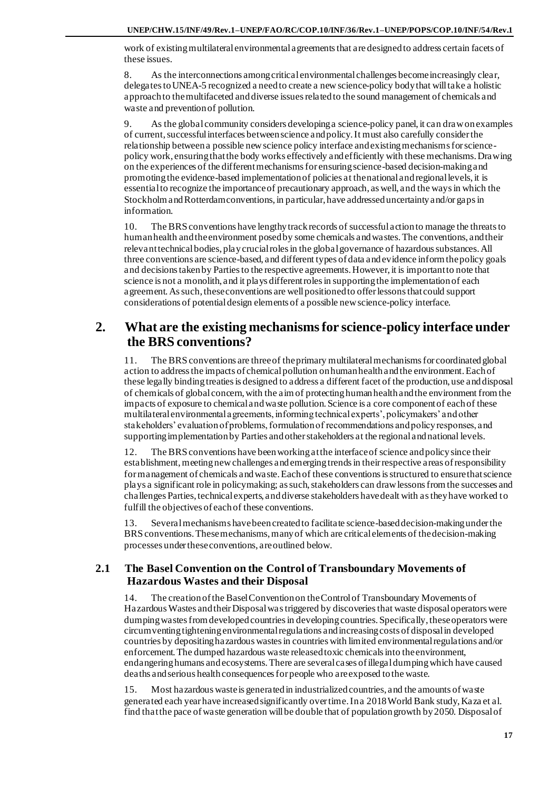work of existing multilateral environmental agreements that are designed to address certain facets of these issues.

8. As the interconnections among critical environmental challenges become increasingly clear, delegates to UNEA-5 recognized a need to create a new science-policy body that will take a holistic approach to the multifaceted and diverse issues related to the sound management of chemicals and waste and prevention of pollution.

9. As the global community considers developing a science-policy panel, it can draw on examples of current, successful interfaces between science and policy. It must also carefully consider the relationship between a possible new science policy interface and existing mechanisms for sciencepolicy work, ensuring that the body works effectively and efficiently with these mechanisms. Drawing on the experiences of the different mechanisms for ensuring science-based decision-making and promoting the evidence-based implementation of policies at the national and regional levels, it is essential to recognize the importance of precautionary approach, as well, and the ways in which the Stockholm and Rotterdam conventions, in particular, have addressed uncertainty and/or gaps in information.

10. The BRS conventions have lengthy track records of successful action to manage the threats to human health and the environment posed by some chemicals and wastes. The conventions, and their relevant technical bodies, play crucial roles in the global governance of hazardous substances. All three conventions are science-based, and different types of data and evidence inform the policy goals and decisions taken by Parties to the respective agreements. However, it is important to note that science is not a monolith, and it plays different roles in supporting the implementation of each agreement. As such, these conventions are well positioned to offer lessons that could support considerations of potential design elements of a possible new science-policy interface.

# **2. What are the existing mechanisms for science-policy interface under the BRS conventions?**

11. The BRS conventions are three of the primary multilateral mechanisms for coordinated global action to address the impacts of chemical pollution on human health and the environment. Each of these legally binding treaties is designed to address a different facet of the production, use and disposal of chemicals of global concern, with the aim of protecting human health and the environment from the impacts of exposure to chemical and waste pollution. Science is a core component of each of these multilateral environmental agreements, informing technical experts', policymakers' and other stakeholders' evaluation of problems, formulation of recommendations and policy responses, and supporting implementation by Parties and other stakeholders at the regional and national levels.

12. The BRS conventions have been working at the interface of science and policy since their establishment, meeting new challenges and emerging trends in their respective areas of responsibility for management of chemicals and waste. Each of these conventions is structured to ensure that science plays a significant role in policymaking; as such, stakeholders can draw lessons from the successes and challenges Parties, technical experts, and diverse stakeholders have dealt with as they have worked to fulfill the objectives of each of these conventions.

13. Several mechanisms have been created to facilitate science-based decision-making under the BRS conventions. These mechanisms, many of which are critical elements of the decision-making processes under these conventions, are outlined below.

### **2.1 The Basel Convention on the Control of Transboundary Movements of Hazardous Wastes and their Disposal**

14. The creation of the Basel Convention on the Control of Transboundary Movements of Hazardous Wastes and their Disposal was triggered by discoveries that waste disposal operators were dumping wastes from developed countries in developing countries. Specifically, these operators were circumventing tightening environmental regulations and increasing costs of disposal in developed countries by depositing hazardous wastes in countries with limited environmental regulations and/or enforcement. The dumped hazardous waste released toxic chemicals into the environment, endangering humans and ecosystems. There are several cases of illegal dumping which have caused deaths and serious health consequences for people who are exposed to the waste.

15. Most hazardous waste is generated in industrialized countries, and the amounts of waste generated each year have increased significantly over time. In a 2018 World Bank study, Kaza et al. find that the pace of waste generation will be double that of population growth by 2050. Disposal of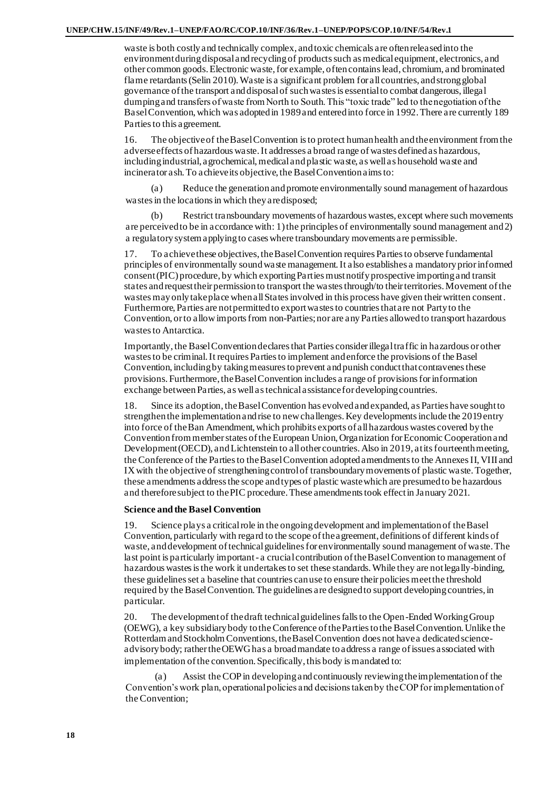waste is both costly and technically complex, and toxic chemicals are often released into the environment during disposal and recycling of products such as medical equipment, electronics, and other common goods. Electronic waste, for example, often contains lead, chromium, and brominated flame retardants (Selin 2010). Waste is a significant problem for all countries, and strong global governance of the transport and disposal of such wastes is essential to combat dangerous, illegal dumping and transfers of waste from North to South. This "toxic trade" led to the negotiation of the Basel Convention, which was adopted in 1989 and entered into force in 1992. There are currently 189 Parties to this agreement.

16. The objective of the Basel Convention is to protect human health and the environment from the adverse effects of hazardous waste. It addresses a broad range of wastes defined as hazardous, including industrial, agrochemical, medical and plastic waste, as well as household waste and incinerator ash. To achieve its objective, the Basel Convention aims to:

(a) Reduce the generation and promote environmentally sound management of hazardous wastes in the locations in which they are disposed;

(b) Restrict transboundary movements of hazardous wastes, except where such movements are perceived to be in accordance with: 1) the principles of environmentally sound management and 2) a regulatory system applying to cases where transboundary movements are permissible.

17. To achieve these objectives, the Basel Convention requires Parties to observe fundamental principles of environmentally sound waste management. It also establishes a mandatory prior informed consent (PIC) procedure, by which exporting Parties must notify prospective importing and transit states and request their permission to transport the wastes through/to their territories. Movement of the wastes may only take place when all States involved in this process have given their written consent. Furthermore, Parties are not permitted to export wastes to countries that are not Party to the Convention, or to allow imports from non-Parties; nor are any Parties allowed to transport hazardous wastes to Antarctica.

Importantly, the Basel Convention declares that Parties consider illegal traffic in hazardous or other wastes to be criminal. It requires Parties to implement and enforce the provisions of the Basel Convention, including by taking measures to prevent and punish conduct that contravenes these provisions. Furthermore, the Basel Convention includes a range of provisions for information exchange between Parties, as well as technical assistance for developing countries.

18. Since its adoption, the Basel Convention has evolved and expanded, as Parties have sought to strengthen the implementation and rise to new challenges. Key developments include the 2019 entry into force of the Ban Amendment, which prohibits exports of all hazardous wastes covered by the Convention from member states of the European Union, Organization for Economic Cooperation and Development (OECD), and Lichtenstein to all other countries. Also in 2019, at its fourteenth meeting, the Conference of the Parties to the Basel Convention adopted amendments to the Annexes II, VIII and IX with the objective of strengthening control of transboundary movements of plastic waste. Together, these amendments address the scope and types of plastic waste which are presumed to be hazardous and therefore subject to the PIC procedure. These amendments took effect in January 2021.

#### **Science and the Basel Convention**

19. Science plays a critical role in the ongoing development and implementation of the Basel Convention, particularly with regard to the scope of the agreement, definitions of different kinds of waste, and development of technical guidelines for environmentally sound management of waste. The last point is particularly important - a crucial contribution of the Basel Convention to management of hazardous wastes is the work it undertakes to set these standards. While they are not legally-binding, these guidelines set a baseline that countries can use to ensure their policies meet the threshold required by the Basel Convention. The guidelines are designed to support developing countries, in particular.

20. The development of the draft technical guidelines falls to the Open-Ended Working Group (OEWG), a key subsidiary body to the Conference of the Parties to the Basel Convention. Unlike the Rotterdam and Stockholm Conventions, the Basel Convention does not have a dedicated scienceadvisory body; rather the OEWG has a broad mandate to address a range of issues associated with implementation of the convention. Specifically, this body is mandated to:

Assist the COP in developing and continuously reviewing the implementation of the Convention's work plan, operational policies and decisions taken by the COP for implementation of the Convention;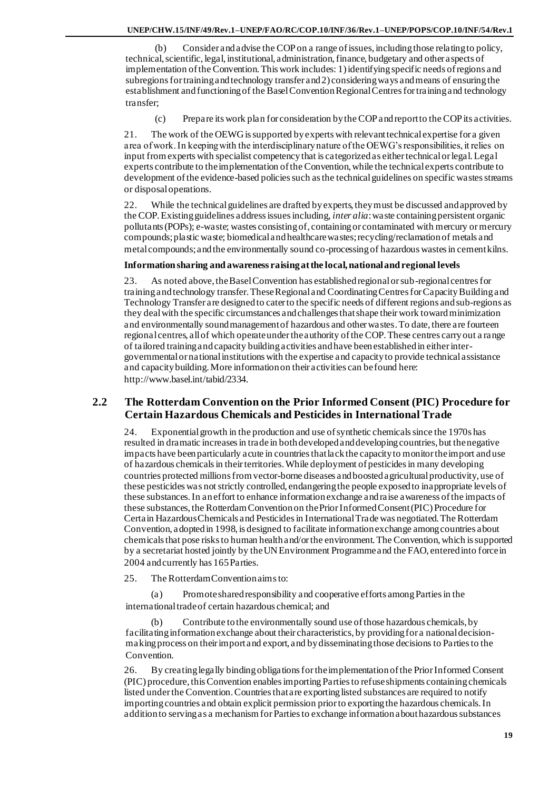(b) Consider and advise the COP on a range of issues, including those relating to policy, technical, scientific, legal, institutional, administration, finance, budgetary and other aspects of implementation of the Convention. This work includes: 1) identifying specific needs of regions and subregions for training and technology transfer and 2) considering ways and means of ensuring the establishment and functioning of the Basel Convention Regional Centres for training and technology transfer;

(c) Prepare its work plan for consideration by the COP and report to the COP its activities.

21. The work of the OEWG is supported by experts with relevant technical expertise for a given area of work. In keeping with the interdisciplinary nature of the OEWG's responsibilities, it relies on input from experts with specialist competency that is categorized as either technical or legal. Legal experts contribute to the implementation of the Convention, while the technical experts contribute to development of the evidence-based policies such as the technical guidelines on specific wastes streams or disposal operations.

22. While the technical guidelines are drafted by experts, they must be discussed and approved by the COP. Existing guidelines address issues including, *inter alia*: waste containing persistent organic pollutants (POPs); e-waste; wastes consisting of, containing or contaminated with mercury or mercury compounds; plastic waste; biomedical and healthcare wastes; recycling/reclamation of metals and metal compounds; and the environmentally sound co-processing of hazardous wastes in cement kilns.

#### **Information sharing and awareness raising at the local, national and regional levels**

23. As noted above, the Basel Convention has established regional or sub-regional centres for training and technology transfer. These Regional and Coordinating Centres for Capacity Building and Technology Transfer are designed to cater to the specific needs of different regions and sub-regions as they deal with the specific circumstances and challenges that shape their work toward minimization and environmentally sound management of hazardous and other wastes. To date, there are fourteen regional centres, all of which operate under the authority of the COP. These centres carry out a range of tailored training and capacity building activities and have been established in either intergovernmental or national institutions with the expertise and capacity to provide technical assistance and capacity building. More information on their activities can be found here: [http://www.basel.int/tabid/2334.](http://www.basel.int/tabid/2334)

### **2.2 The Rotterdam Convention on the Prior Informed Consent (PIC) Procedure for Certain Hazardous Chemicals and Pesticides in International Trade**

24. Exponential growth in the production and use of synthetic chemicals since the 1970s has resulted in dramatic increases in trade in both developed and developing countries, but the negative impacts have been particularly acute in countries that lack the capacity to monitor the import and use of hazardous chemicals in their territories. While deployment of pesticides in many developing countries protected millions from vector-borne diseases and boosted agricultural productivity, use of these pesticides was not strictly controlled, endangering the people exposed to inappropriate levels of these substances. In an effort to enhance information exchange and raise awareness of the impacts of these substances, the Rotterdam Convention on the Prior Informed Consent (PIC) Procedure for Certain Hazardous Chemicals and Pesticides in International Trade was negotiated. The Rotterdam Convention, adopted in 1998, is designed to facilitate information exchange among countries about chemicals that pose risks to human health and/or the environment. The Convention, which is supported by a secretariat hosted jointly by the UN Environment Programme and the FAO, entered into force in 2004 and currently has 165 Parties.

25. The Rotterdam Convention aims to:

(a) Promote shared responsibility and cooperative efforts among Parties in the international trade of certain hazardous chemical; and

(b) Contribute to the environmentally sound use of those hazardous chemicals, by facilitating information exchange about their characteristics, by providing for a national decisionmaking process on their import and export, and by disseminating those decisions to Parties to the Convention.

26. By creating legally binding obligations for the implementation of the Prior Informed Consent (PIC) procedure, this Convention enables importing Parties to refuse shipments containing chemicals listed under the Convention. Countries that are exporting listed substances are required to notify importing countries and obtain explicit permission prior to exporting the hazardous chemicals. In addition to serving as a mechanism for Parties to exchange information about hazardous substances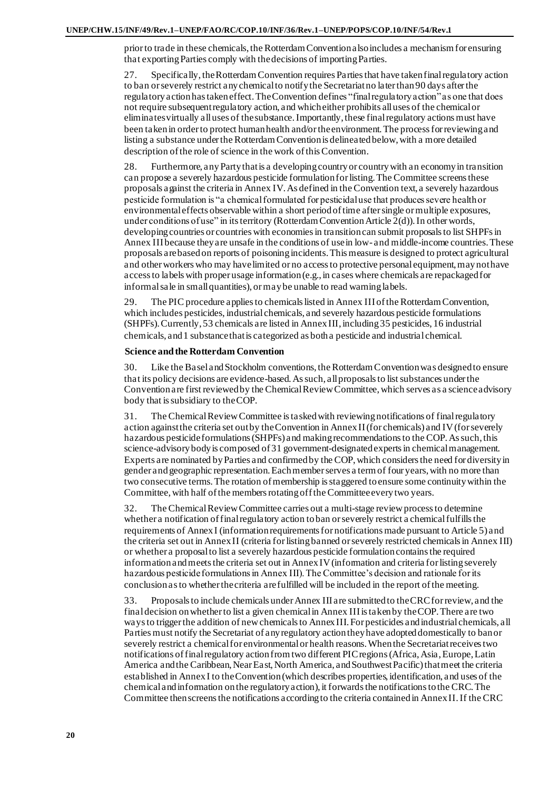prior to trade in these chemicals, the Rotterdam Convention also includes a mechanism for ensuring that exporting Parties comply with the decisions of importing Parties.

27. Specifically, the Rotterdam Convention requires Parties that have taken final regulatory action to ban or severely restrict any chemical to notify the Secretariat no later than 90 days after the regulatory action has taken effect. The Convention defines "final regulatory action" as one that does not require subsequent regulatory action, and which either prohibits all uses of the chemical or eliminates virtually all uses of the substance. Importantly, these final regulatory actions must have been taken in order to protect human health and/or the environment. The process for reviewing and listing a substance under the Rotterdam Convention is delineated below, with a more detailed description of the role of science in the work of this Convention.

28. Furthermore, any Party that is a developing country or country with an economy in transition can propose a severely hazardous pesticide formulation for listing. The Committee screens these proposals against the criteria in Annex IV. As defined in the Convention text, a severely hazardous pesticide formulation is "a chemical formulated for pesticidal use that produces severe health or environmental effects observable within a short period of time after single or multiple exposures, under conditions of use" in its territory (Rotterdam Convention Article 2(d)). In other words, developing countries or countries with economies in transition can submit proposals to list SHPFs in Annex III because they are unsafe in the conditions of use in low- and middle-income countries. These proposals are based on reports of poisoning incidents. This measure is designed to protect agricultural and other workers who may have limited or no access to protective personal equipment, may not have access to labels with proper usage information (e.g., in cases where chemicals are repackaged for informal sale in small quantities), or may be unable to read warning labels.

29. The PIC procedure applies to chemicals listed in Annex III of the Rotterdam Convention, which includes pesticides, industrial chemicals, and severely hazardous pesticide formulations (SHPFs). Currently, 53 chemicals are listed in Annex III, including 35 pesticides, 16 industrial chemicals, and 1 substance that is categorized as both a pesticide and industrial chemical.

#### **Science and the Rotterdam Convention**

30. Like the Basel and Stockholm conventions, the Rotterdam Convention was designed to ensure that its policy decisions are evidence-based. As such, all proposals to list substances under the Convention are first reviewed by the Chemical Review Committee, which serves as a science advisory body that is subsidiary to the COP.

31. The Chemical Review Committee is tasked with reviewing notifications of final regulatory action against the criteria set out by the Convention in Annex II (for chemicals) and IV (for severely hazardous pesticide formulations (SHPFs) and making recommendations to the COP. As such, this science-advisory body is composed of 31 government-designated experts in chemical management. Experts are nominated by Parties and confirmed by the COP, which considers the need for diversity in gender and geographic representation. Each member serves a term of four years, with no more than two consecutive terms. The rotation of membership is staggered to ensure some continuity within the Committee, with half of the members rotating off the Committee every two years.

32. The Chemical Review Committee carries out a multi-stage review process to determine whether a notification of final regulatory action to ban or severely restrict a chemical fulfills the requirements of Annex I (information requirements for notifications made pursuant to Article 5) and the criteria set out in Annex II (criteria for listing banned or severely restricted chemicals in Annex III) or whether a proposal to list a severely hazardous pesticide formulation contains the required information and meets the criteria set out in Annex IV (information and criteria for listing severely hazardous pesticide formulations in Annex III). The Committee's decision and rationale for its conclusion as to whether the criteria are fulfilled will be included in the report of the meeting.

33. Proposals to include chemicals under Annex III are submitted to the CRC for review, and the final decision on whether to list a given chemical in Annex III is taken by the COP. There are two ways to trigger the addition of new chemicals to Annex III. For pesticides and industrial chemicals, all Parties must notify the Secretariat of any regulatory action they have adopted domestically to ban or severely restrict a chemical for environmental or health reasons. When the Secretariat receives two notifications of final regulatory action from two different PIC regions (Africa, Asia, Europe, Latin America and the Caribbean, Near East, North America, and Southwest Pacific) that meet the criteria established in Annex I to the Convention (which describes properties, identification, and uses of the chemical and information on the regulatory action), it forwards the notifications to the CRC. The Committee then screens the notifications according to the criteria contained in Annex II. If the CRC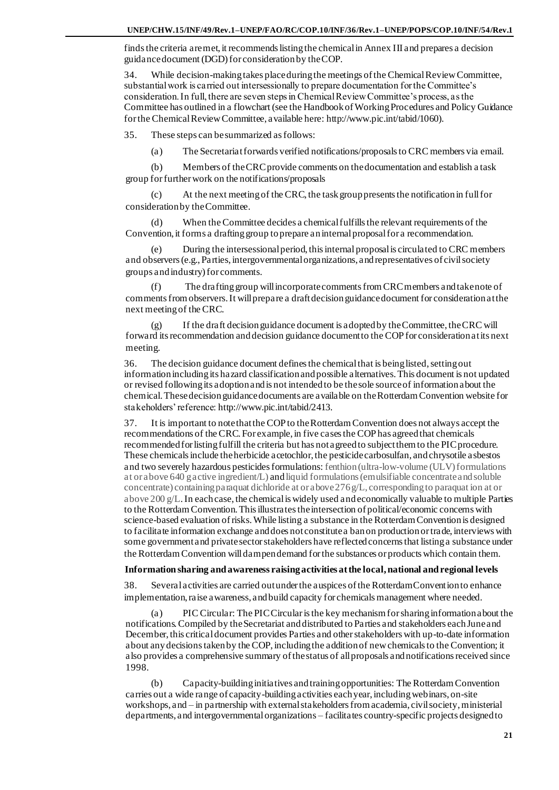finds the criteria are met, it recommends listing the chemical in Annex III and prepares a decision guidance document (DGD) for consideration by the COP.

34. While decision-making takes place during the meetings of the Chemical Review Committee, substantial work is carried out intersessionally to prepare documentation for the Committee's consideration. In full, there are seven steps in Chemical Review Committee's process, as the Committee has outlined in a flowchart (see the Handbook of Working Procedures and Policy Guidance for the Chemical Review Committee, available here[: http://www.pic.int/tabid/1060](http://www.pic.int/tabid/1060)).

35. These steps can be summarized as follows:

(a) The Secretariat forwards verified notifications/proposals to CRC members via email.

(b) Members of the CRC provide comments on the documentation and establish a task group for further work on the notifications/proposals

At the next meeting of the CRC, the task group presents the notification in full for consideration by the Committee.

(d) When the Committee decides a chemical fulfills the relevant requirements of the Convention, it forms a drafting group to prepare an internal proposal for a recommendation.

(e) During the intersessional period, this internal proposal is circulated to CRC members and observers (e.g., Parties, intergovernmental organizations, and representatives of civil society groups and industry) for comments.

(f) The drafting group will incorporate comments from CRC members and take note of comments from observers. It will prepare a draft decision guidance document for consideration at the next meeting of the CRC.

(g) If the draft decision guidance document is adopted by the Committee, the CRC will forward its recommendation and decision guidance document to the COP for consideration at its next meeting.

36. The decision guidance document defines the chemical that is being listed, setting out information including its hazard classification and possible alternatives. This document is not updated or revised following its adoption and is not intended to be the sole source of information about the chemical. These decision guidance documents are available on the Rotterdam Convention website for stakeholders' reference[: http://www.pic.int/tabid/2413.](http://www.pic.int/tabid/2413)

37. It is important to note that the COP to the Rotterdam Convention does not always accept the recommendations of the CRC. For example, in five cases the COP has agreed that chemicals recommended for listing fulfill the criteria but has not agreed to subject them to the PIC procedure. These chemicals include the herbicide acetochlor, the pesticide carbosulfan, and chrysotile asbestos and two severely hazardous pesticides formulations: fenthion (ultra-low-volume (ULV) formulations at or above 640 g active ingredient/L) and liquid formulations (emulsifiable concentrate and soluble concentrate) containing paraquat dichloride at or above 276 g/L, corresponding to paraquat ion at or above 200 g/L. In each case, the chemical is widely used and economically valuable to multiple Parties to the Rotterdam Convention. This illustrates the intersection of political/economic concerns with science-based evaluation of risks. While listing a substance in the Rotterdam Convention is designed to facilitate information exchange and does not constitute a ban on production or trade, interviews with some government and private sector stakeholders have reflected concerns that listing a substance under the Rotterdam Convention will dampen demand for the substances or products which contain them.

#### **Information sharing and awareness raising activities at the local, national and regional levels**

38. Several activities are carried out under the auspices of the Rotterdam Convention to enhance implementation, raise awareness, and build capacity for chemicals management where needed.

(a) PIC Circular: The PIC Circular is the key mechanism for sharing information about the notifications. Compiled by the Secretariat and distributed to Parties and stakeholders each June and December, this critical document provides Parties and other stakeholders with up-to-date information about any decisions taken by the COP, including the addition of new chemicals to the Convention; it also provides a comprehensive summary of the status of all proposals and notifications received since 1998.

(b) Capacity-building initiatives and training opportunities: The Rotterdam Convention carries out a wide range of capacity-building activities each year, including webinars, on-site workshops, and – in partnership with external stakeholders from academia, civil society, ministerial departments, and intergovernmental organizations – facilitates country-specific projects designed to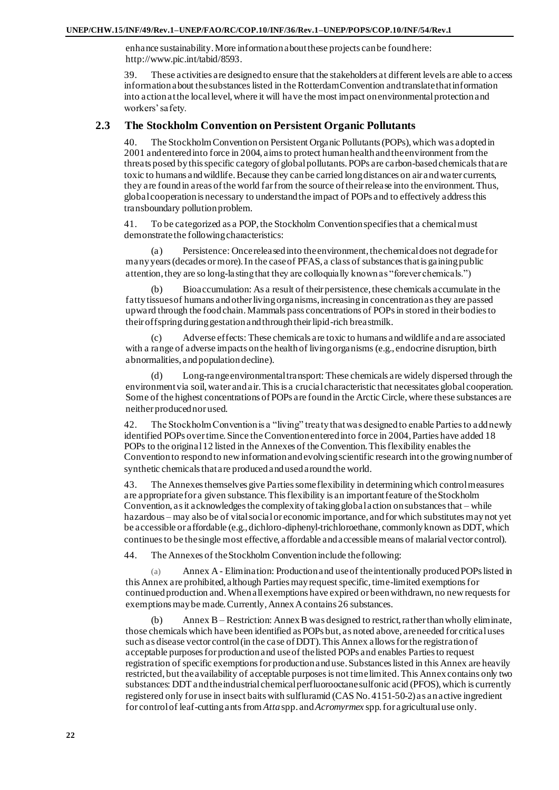enhance sustainability. More information about these projects can be found here: <http://www.pic.int/tabid/8593>.

39. These activities are designed to ensure that the stakeholders at different levels are able to access information about the substanceslisted in the Rotterdam Convention and translate that information into action at the local level, where it will have the most impact on environmental protection and workers' safety.

### **2.3 The Stockholm Convention on Persistent Organic Pollutants**

40. The Stockholm Convention on Persistent Organic Pollutants (POPs), which was adopted in 2001 and entered into force in 2004, aims to protect human health and the environment from the threats posed by this specific category of global pollutants. POPs are carbon-based chemicals that are toxic to humans and wildlife. Because they can be carried long distances on air and water currents, they are found in areas of the world far from the source of their release into the environment. Thus, global cooperation is necessary to understand the impact of POPs and to effectively address this transboundary pollution problem.

41. To be categorized as a POP, the Stockholm Convention specifies that a chemical must demonstrate the following characteristics:

(a) Persistence: Once released into the environment, the chemical does not degrade for many years (decades or more). In the case of PFAS, a class of substances that is gaining public attention, they are so long-lasting that they are colloquially known as "forever chemicals.")

Bioaccumulation: As a result of their persistence, these chemicals accumulate in the fatty tissues of humans and other living organisms, increasing in concentration as they are passed upward through the food chain. Mammals pass concentrations of POPs in stored in their bodies to their offspring during gestation and through their lipid-rich breastmilk.

(c) Adverse effects: These chemicals are toxic to humans and wildlife and are associated with a range of adverse impacts on the health of living organisms (e.g., endocrine disruption, birth abnormalities, and population decline).

Long-range environmental transport: These chemicals are widely dispersed through the environment via soil, water and air. This is a crucial characteristic that necessitates global cooperation. Some of the highest concentrations of POPs are found in the Arctic Circle, where these substances are neither produced nor used.

42. The Stockholm Convention is a "living" treaty that was designed to enable Parties to add newly identified POPs over time. Since the Convention entered into force in 2004, Parties have added 18 POPs to the original 12 listed in the Annexes of the Convention. This flexibility enables the Convention to respond to new information and evolving scientific research into the growing number of synthetic chemicals that are produced and used around the world.

43. The Annexes themselves give Parties some flexibility in determining which control measures are appropriate for a given substance. This flexibility is an important feature of the Stockholm Convention, as it acknowledges the complexity of taking global action on substances that – while hazardous – may also be of vital social or economic importance, and for which substitutes may not yet be accessible or affordable (e.g., dichloro-diphenyl-trichloroethane, commonly known as DDT, which continues to be the single most effective, affordable and accessible means of malarial vector control).

44. The Annexes of the Stockholm Convention include the following:

(a) Annex A - Elimination: Production and use of the intentionally produced POPs listed in this Annex are prohibited, although Parties may request specific, time-limited exemptions for continued production and. When all exemptions have expired or been withdrawn, no new requests for exemptions may be made. Currently, Annex A contains 26 substances.

(b) Annex B – Restriction: Annex B was designed to restrict, rather than wholly eliminate, those chemicals which have been identified as POPs but, as noted above, are needed for critical uses such as disease vector control (in the case of DDT). This Annex allows for the registration of acceptable purposes for production and use of the listed POPs and enables Parties to request registration of specific exemptions for production and use. Substances listed in this Annex are heavily restricted, but the availability of acceptable purposes is not time limited. This Annex contains only two substances: DDT and the industrial chemical perfluorooctane sulfonic acid (PFOS), which is currently registered only for use in insect baits with sulfluramid (CAS No. 4151-50-2) as an active ingredient for control of leaf-cutting ants from *Atta*spp. and *Acromyrmex* spp. for agricultural use only.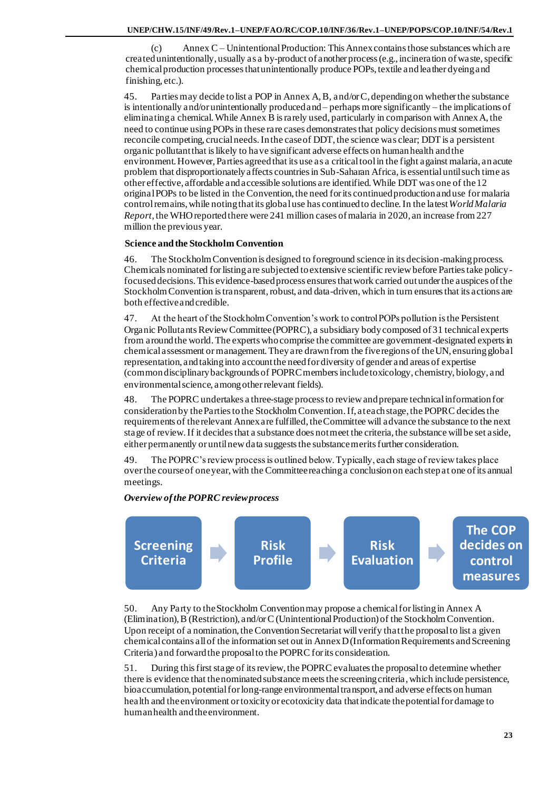(c) Annex C – Unintentional Production: This Annex contains those substances which are created unintentionally, usually as a by-product of another process (e.g., incineration of waste, specific chemical production processes that unintentionally produce POPs, textile and leather dyeing and finishing, etc.).

45. Parties may decide to list a POP in Annex A, B, and/or C, depending on whether the substance is intentionally and/or unintentionally produced and – perhaps more significantly – the implications of eliminating a chemical. While Annex B is rarely used, particularly in comparison with Annex A, the need to continue using POPs in these rare cases demonstrates that policy decisions must sometimes reconcile competing, crucial needs. In the case of DDT, the science was clear; DDT is a persistent organic pollutant that is likely to have significant adverse effects on human health and the environment. However, Parties agreed that its use as a critical tool in the fight against malaria, an acute problem that disproportionately affects countries in Sub-Saharan Africa, is essential until such time as other effective, affordable and accessible solutions are identified. While DDT was one of the 12 original POPs to be listed in the Convention, the need for its continued production and use for malaria controlremains, while noting that its global use has continuedto decline. In the latest *World Malaria Report*, the WHO reported there were 241 million cases of malaria in 2020, an increase from 227 million the previous year.

### **Science and the Stockholm Convention**

46. The Stockholm Convention is designed to foreground science in its decision-making process. Chemicals nominated for listing are subjected to extensive scientific review before Parties take policyfocused decisions. This evidence-based process ensures that work carried out under the auspices of the Stockholm Convention is transparent, robust, and data-driven, which in turn ensures that its actions are both effective and credible.

47. At the heart of the Stockholm Convention's work to control POPs pollution is the Persistent Organic Pollutants Review Committee (POPRC), a subsidiary body composed of 31 technical experts from around the world. The experts who comprise the committee are government-designated experts in chemical assessment or management. They are drawn from the five regions of the UN, ensuring global representation, and taking into account the need for diversity of gender and areas of expertise (common disciplinary backgrounds of POPRC members include toxicology, chemistry, biology, and environmental science, among other relevant fields).

48. The POPRC undertakes a three-stage process to review and prepare technical information for consideration by the Parties to the Stockholm Convention. If, at each stage, the POPRC decides the requirements of therelevant Annex are fulfilled, the Committee will advance the substance to the next stage of review. If it decides that a substance does not meet the criteria, the substance will be set aside, either permanently or until new data suggests the substance merits further consideration.

49. The POPRC's review process is outlined below. Typically, each stage of review takes place over the course of one year, with the Committee reaching a conclusion on each step at one of its annual meetings.



#### *Overview of the POPRC review process*

50. Any Party to the Stockholm Convention may propose a chemical for listing in Annex A (Elimination), B (Restriction), and/or C (Unintentional Production) of the Stockholm Convention. Upon receipt of a nomination, the Convention Secretariat will verify that the proposal to list a given chemical contains all of the information set out in Annex D (Information Requirements and Screening Criteria) and forward the proposal to the POPRC for its consideration.

51. During this first stage of its review, the POPRC evaluates the proposal to determine whether there is evidence that the nominated substance meets the screening criteria, which include persistence, bioaccumulation, potential for long-range environmental transport, and adverse effects on human health and the environment or toxicity or ecotoxicity data that indicate the potential for damage to human health and the environment.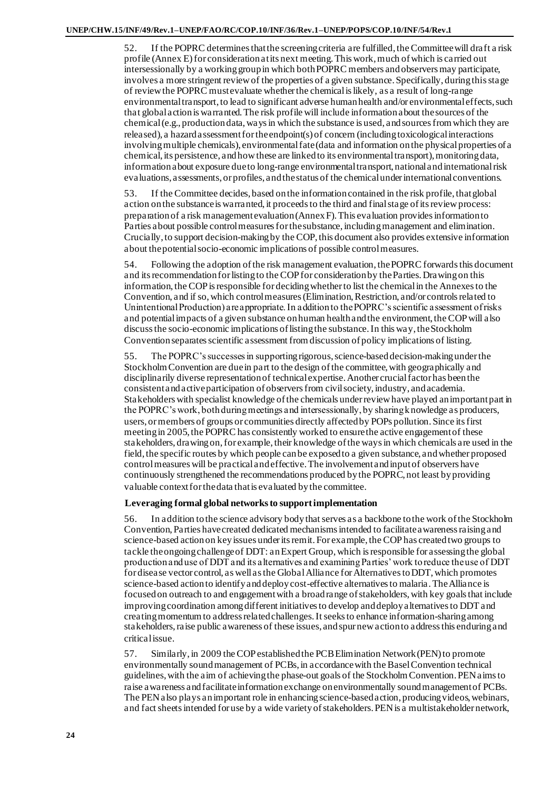52. If the POPRC determines that the screening criteria are fulfilled, the Committee will draft a risk profile (Annex E) for consideration at its next meeting. This work, much of which is carried out intersessionally by a working group in which both POPRC members and observers may participate, involves a more stringent review of the properties of a given substance. Specifically, during this stage of review the POPRC must evaluate whether the chemical is likely, as a result of long-range environmental transport, to lead to significant adverse human health and/or environmental effects, such that global action is warranted. The risk profile will include information about the sources of the chemical (e.g., production data, ways in which the substance is used, and sources from which they are released), a hazard assessment for the endpoint(s) of concern (including toxicological interactions involving multiple chemicals), environmental fate (data and information on the physical properties of a chemical, its persistence, and how these are linked to its environmental transport), monitoring data, information about exposure due to long-range environmental transport, national and international risk evaluations, assessments, or profiles, and the status of the chemical under international conventions.

53. If the Committee decides, based on the information contained in the risk profile, that global action on the substance is warranted, it proceeds to the third and final stage of its review process: preparation of a risk management evaluation (Annex F). This evaluation provides information to Parties about possible control measures for the substance, including management and elimination. Crucially, to support decision-making by the COP, this document also provides extensive information about the potential socio-economic implications of possible control measures.

54. Following the adoption of the risk management evaluation, the POPRC forwards this document and its recommendation for listing to the COP for consideration by the Parties. Drawing on this information, the COP is responsible for deciding whether to list the chemical in the Annexes to the Convention, and if so, which control measures (Elimination, Restriction, and/or controls related to Unintentional Production) are appropriate. In addition to the POPRC's scientific assessment of risks and potential impacts of a given substance on human health and the environment, the COP will also discuss the socio-economic implications of listing the substance. In this way, the Stockholm Convention separates scientific assessment from discussion of policy implications of listing.

55. The POPRC's successes in supporting rigorous, science-based decision-making under the Stockholm Convention are due in part to the design of the committee, with geographically and disciplinarily diverse representation of technical expertise. Another crucial factor has been the consistent and active participation of observers from civil society, industry, and academia. Stakeholders with specialist knowledge of the chemicals under review have played an important part in the POPRC's work, both during meetings and intersessionally, by sharing knowledge as producers, users, or members of groups or communities directly affected by POPs pollution. Since its first meeting in 2005, the POPRC has consistently worked to ensure the active engagement of these stakeholders, drawing on, for example, their knowledge of the ways in which chemicals are used in the field, the specific routes by which people can be exposed to a given substance, and whether proposed control measures will be practical and effective. The involvement and input of observers have continuously strengthened the recommendations produced by the POPRC, not least by providing valuable context for the data that is evaluated by the committee.

#### **Leveraging formal global networks to support implementation**

56. In addition to the science advisory body that serves as a backbone to the work of the Stockholm Convention, Parties have created dedicated mechanisms intended to facilitate awareness raising and science-based action on key issues under its remit. For example, the COP has created two groups to tackle the ongoing challenge of DDT: an Expert Group, which is responsible for assessing the global production and use of DDT and its alternatives and examining Parties' work to reduce the use of DDT for disease vector control, as well as the Global Alliance for Alternatives to DDT, which promotes science-based action to identify and deploy cost-effective alternatives to malaria. The Alliance is focused on outreach to and engagement with a broad range of stakeholders, with key goals that include improving coordination among different initiatives to develop and deploy alternatives to DDT and creating momentum to address related challenges. It seeks to enhance information-sharing among stakeholders, raise public awareness of these issues, and spur new action to address this enduring and critical issue.

57. Similarly, in 2009 the COP established the PCB Elimination Network (PEN) to promote environmentally sound management of PCBs, in accordance with the Basel Convention technical guidelines, with the aim of achieving the phase-out goals of the Stockholm Convention. PEN aims to raise awareness and facilitate information exchange on environmentally sound management of PCBs. The PEN also plays an important role in enhancing science-based action, producing videos, webinars, and fact sheets intended for use by a wide variety of stakeholders. PEN is a multistakeholder network,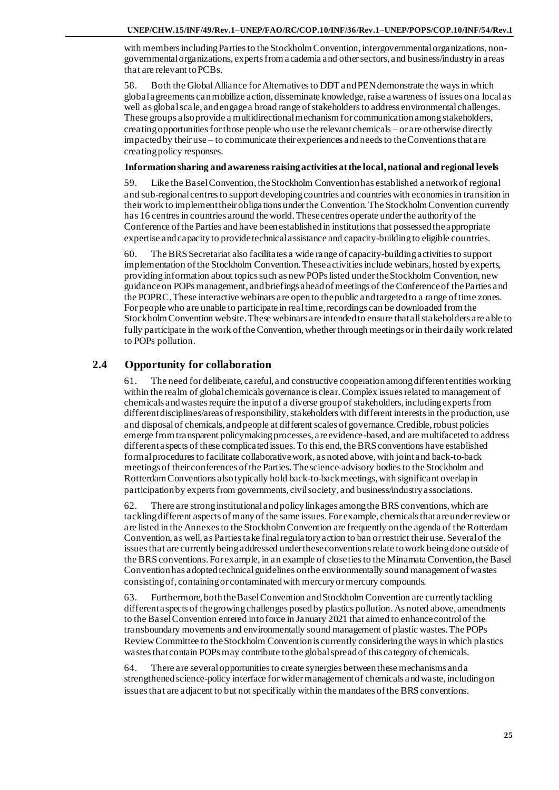with members including Parties to the Stockholm Convention, intergovernmental organizations, nongovernmental organizations, experts from a cademia and other sectors, and business/industry in areas that are relevant to PCBs.

58. Both the Global Alliance for Alternatives to DDT and PEN demonstrate the ways in which global agreements can mobilize action, disseminate knowledge, raise awareness of issues on a local as well as global scale, and engage a broad range of stakeholders to address environmental challenges. These groups also provide a multidirectional mechanism for communication among stakeholders, creating opportunities for those people who use the relevant chemicals – or are otherwise directly impacted by their use – to communicate their experiences and needs to the Conventions that are creating policy responses.

#### **Information sharing and awareness raising activities at the local, national and regional levels**

59. Like the Basel Convention, the Stockholm Convention has established a network of regional and sub-regional centres to support developing countries and countries with economies in transition in their work to implement their obliga tions under the Convention. The Stockholm Convention currently has 16 centres in countries around the world. These centres operate under the authority of the Conference of the Parties and have been established in institutions that possessed the appropriate expertise and capacity to provide technical assistance and capacity-building to eligible countries.

60. The BRS Secretariat also facilitates a wide range of capacity-building activities to support implementation of the Stockholm Convention. These activities include webinars, hosted by experts, providing information about topics such as new POPs listed under the Stockholm Convention, new guidance on POPs management, and briefings ahead of meetings of the Conference of the Parties and the POPRC. These interactive webinars are open to the public and targeted to a range of time zones. For people who are unable to participate in real time, recordings can be downloaded from the Stockholm Convention website. These webinars are intended to ensure that all stakeholders are able to fully participate in the work of the Convention, whether through meetings or in their daily work related to POPs pollution.

### **2.4 Opportunity for collaboration**

61. The need for deliberate, careful, and constructive cooperation among different entities working within the realm of global chemicals governance is clear. Complex issues related to management of chemicals and wastes require the input of a diverse group of stakeholders, including experts from different disciplines/areas of responsibility, stakeholders with different interests in the production, use and disposal of chemicals, and people at different scales of governance. Credible, robust policies emerge from transparent policymaking processes, are evidence-based, and are multifaceted to address different aspects of these complicated issues. To this end, the BRS conventions have established formal procedures to facilitate collaborative work, as noted above, with joint and back-to-back meetings of their conferences of the Parties. The science-advisory bodies to the Stockholm and Rotterdam Conventions also typically hold back-to-back meetings, with significant overlap in participation by experts from governments, civil society, and business/industry associations.

62. There are strong institutional and policy linkages among the BRS conventions, which are tackling different aspects of many of the same issues. For example, chemicals that are under review or are listed in the Annexes to the Stockholm Convention are frequently on the agenda of the Rotterdam Convention, as well, as Parties take final regulatory action to ban or restrict their use. Several of the issues that are currently being addressed under these conventions relate to work being done outside of the BRS conventions. For example, in an example of close ties to the Minamata Convention, the Basel Convention has adopted technical guidelines onthe environmentally sound management of wastes consisting of, containing or contaminated with mercury or mercury compounds.

63. Furthermore, both the Basel Convention and Stockholm Convention are currently tackling different aspects of the growing challenges posed by plastics pollution. As noted above, amendments to the Basel Convention entered into force in January 2021 that aimed to enhance control of the transboundary movements and environmentally sound management of plastic wastes. The POPs Review Committee to the Stockholm Convention is currently considering the ways in which plastics wastes that contain POPs may contribute to the global spread of this category of chemicals.

64. There are several opportunities to create synergies between these mechanisms and a strengthened science-policy interface for wider management of chemicals and waste, including on issues that are adjacent to but not specifically within the mandates of the BRS conventions.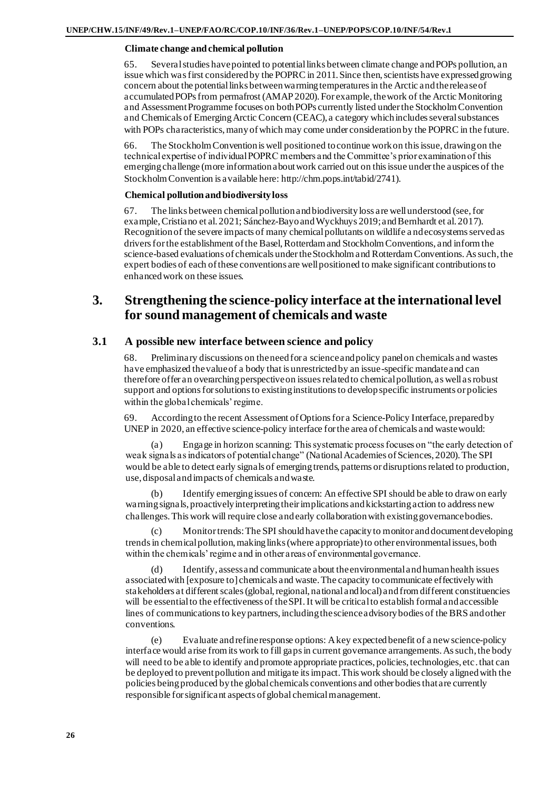#### **Climate change and chemical pollution**

65. Several studies have pointed to potential links between climate change and POPs pollution, an issue which was first considered by the POPRC in 2011. Since then, scientists have expressed growing concern about the potential links between warming temperatures in the Arctic and the release of accumulated POPs from permafrost (AMAP 2020). For example, the work of the Arctic Monitoring and Assessment Programme focuses on both POPs currently listed under the Stockholm Convention and Chemicals of Emerging Arctic Concern (CEAC), a category which includes several substances with POPs characteristics, many of which may come under consideration by the POPRC in the future.

66. The Stockholm Convention is well positioned to continue work on this issue, drawing on the technical expertise of individual POPRC members and the Committee's prior examination of this emerging challenge (more information about work carried out on this issue under the auspices of the Stockholm Convention is available here[: http://chm.pops.int/tabid/2741](http://chm.pops.int/tabid/2741)).

#### **Chemical pollution and biodiversity loss**

67. The links between chemical pollution and biodiversity loss are well understood (see, for example, Cristiano et al. 2021; Sánchez-Bayo and Wyckhuys 2019; and Bernhardt et al. 2017). Recognition of the severe impacts of many chemical pollutants on wildlife a nd ecosystems served as drivers for the establishment of the Basel, Rotterdam and Stockholm Conventions, and inform the science-based evaluations of chemicals under the Stockholm and Rotterdam Conventions. As such, the expert bodies of each of these conventions are well positioned to make significant contributions to enhanced work on these issues.

## **3. Strengthening the science-policy interface at the international level for sound management of chemicals and waste**

### **3.1 A possible new interface between science and policy**

68. Preliminary discussions on the need for a science and policy panel on chemicals and wastes have emphasized the value of a body that is unrestricted by an issue-specific mandate and can therefore offer an overarching perspective on issues related to chemical pollution, as well as robust support and options for solutions to existing institutions to develop specific instruments or policies within the global chemicals' regime.

69. According to the recent Assessment of Options for a Science-Policy Interface, prepared by UNEP in 2020, an effective science-policy interface for the area of chemicals and waste would:

(a) Engage in horizon scanning: This systematic process focuses on "the early detection of weak signals as indicators of potential change" (National Academies of Sciences, 2020). The SPI would be able to detect early signals of emerging trends, patterns or disruptions related to production, use, disposal and impacts of chemicals and waste.

(b) Identify emerging issues of concern: An effective SPI should be able to draw on early warning signals, proactively interpreting their implications and kickstarting action to address new challenges. This work will require close and early collaboration with existing governance bodies.

(c) Monitor trends: The SPI should have the capacity to monitor and document developing trends in chemical pollution, making links (where appropriate) to other environmental issues, both within the chemicals' regime and in other areas of environmental governance.

(d) Identify, assess and communicate about the environmental and human health issues associated with [exposure to] chemicals and waste. The capacity to communicate effectively with stakeholders at different scales (global, regional, national and local) and from different constituencies will be essential to the effectiveness of the SPI. It will be critical to establish formal and accessible lines of communications to key partners, including the science advisory bodies of the BRS and other conventions.

(e) Evaluate and refine response options: A key expected benefit of a new science-policy interface would arise from its work to fill gaps in current governance arrangements. As such, the body will need to be able to identify and promote appropriate practices, policies, technologies, etc. that can be deployed to prevent pollution and mitigate its impact. This work should be closely aligned with the policies being produced by the global chemicals conventions and other bodies that are currently responsible for significant aspects of global chemical management.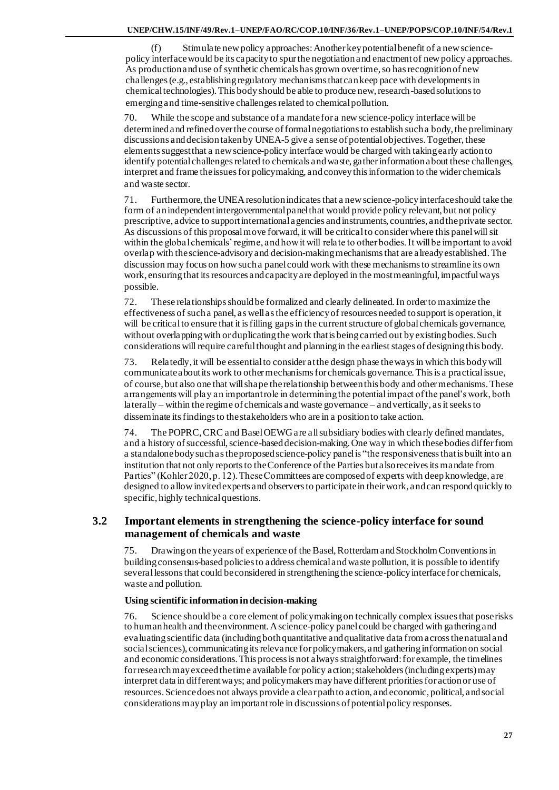(f) Stimulate new policy approaches: Another key potential benefit of a new sciencepolicy interface would be its capacity to spur the negotiation and enactment of new policy approaches. As production and use of synthetic chemicals has grown over time, so has recognition of new challenges (e.g., establishing regulatory mechanisms that can keep pace with developments in chemical technologies). This body should be able to produce new, research-based solutions to emerging and time-sensitive challenges related to chemical pollution.

70. While the scope and substance of a mandate for a new science-policy interface will be determined and refined over the course of formal negotiations to establish such a body, the preliminary discussions and decision taken by UNEA-5 give a sense of potential objectives. Together, these elements suggest that a new science-policy interface would be charged with taking early action to identify potential challenges related to chemicals and waste, gather information about these challenges, interpret and frame the issues for policymaking, and convey this information to the wider chemicals and waste sector.

71. Furthermore, the UNEA resolution indicates that a new science-policy interface should take the form of an independent intergovernmental panel that would provide policy relevant, but not policy prescriptive, advice to support international agencies and instruments, countries, and the private sector. As discussions of this proposal move forward, it will be critical to consider where this panel will sit within the global chemicals' regime, and how it will relate to other bodies. It will be important to avoid overlap with the science-advisory and decision-making mechanisms that are already established. The discussion may focus on how such a panel could work with these mechanisms to streamline its own work, ensuring that its resources and capacity are deployed in the most meaningful, impactful ways possible.

72. These relationships should be formalized and clearly delineated. In order to maximize the effectiveness of such a panel, as well as the efficiency of resources needed to support is operation, it will be critical to ensure that it is filling gaps in the current structure of global chemicals governance, without overlapping with or duplicating the work that is being carried out by existing bodies. Such considerations will require careful thought and planning in the earliest stages of designing this body.

73. Relatedly, it will be essential to consider at the design phase the ways in which this body will communicate about its work to other mechanisms for chemicals governance. This is a practical issue, of course, but also one that will shape the relationship between this body and other mechanisms. These arrangements will play an important role in determining the potential impact of the panel's work, both laterally – within the regime of chemicals and waste governance – and vertically, as it seeks to disseminate its findings to the stakeholders who are in a position to take action.

74. The POPRC, CRC and Basel OEWG are all subsidiary bodies with clearly defined mandates, and a history of successful, science-based decision-making. One way in which these bodies differ from a standalone body such as the proposed science-policy panel is "the responsiveness that is built into an institution that not only reports to the Conference of the Parties but also receives its mandate from Parties" (Kohler 2020, p. 12). These Committees are composed of experts with deep knowledge, are designed to allow invited experts and observers to participate in their work, and can respond quickly to specific, highly technical questions.

## **3.2 Important elements in strengthening the science-policy interface for sound management of chemicals and waste**

75. Drawing on the years of experience of the Basel, Rotterdam and Stockholm Conventions in building consensus-based policies to address chemical and waste pollution, it is possible to identify several lessons that could be considered in strengthening the science-policy interface for chemicals, waste and pollution.

### **Using scientific information in decision-making**

76. Science should be a core element of policymaking on technically complex issues that pose risks to human health and the environment. A science-policy panel could be charged with gathering and evaluating scientific data (including both quantitative and qualitative data from across the natural and social sciences), communicating its relevance for policymakers, and gathering information on social and economic considerations. This process is not always straightforward: for example, the timelines for research may exceed the time available for policy action; stakeholders (including experts) may interpret data in different ways; and policymakers may have different priorities for action or use of resources. Science does not always provide a clear path to action, and economic, political, and social considerations may play an important role in discussions of potential policy responses.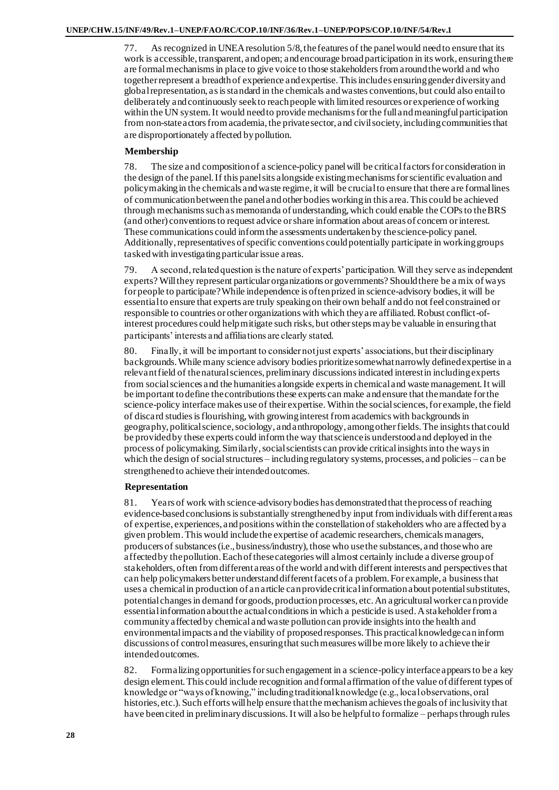77. As recognized in UNEA resolution 5/8, the features of the panel would need to ensure that its work is accessible, transparent, and open; and encourage broad participation in its work, ensuring there are formal mechanisms in place to give voice to those stakeholders from around the world and who together represent a breadth of experience and expertise. This includes ensuring gender diversity and global representation, as is standard in the chemicals and wastes conventions, but could also entail to deliberately and continuously seek to reach people with limited resources or experience of working within the UN system. It would need to provide mechanisms for the full and meaningful participation from non-state actors from academia, the private sector, and civil society, including communities that are disproportionately affected by pollution.

#### **Membership**

78. The size and composition of a science-policy panel will be critical factors for consideration in the design of the panel. If this panel sits alongside existing mechanisms for scientific evaluation and policymaking in the chemicals and waste regime, it will be crucial to ensure that there are formal lines of communication between the panel and other bodies working in this area. This could be achieved through mechanisms such as memoranda of understanding, which could enable the COPs to the BRS (and other) conventions to request advice or share information about areas of concern or interest. These communications could inform the assessments undertaken by the science-policy panel. Additionally, representatives of specific conventions could potentially participate in working groups tasked with investigating particular issue areas.

79. A second, related question is the nature of experts' participation. Will they serve as independent experts? Will they represent particular organizations or governments? Should there be a mix of ways for people to participate? While independence is often prized in science-advisory bodies, it will be essential to ensure that experts are truly speaking on their own behalf and do not feel constrained or responsible to countries or other organizations with which they are affiliated. Robust conflict-ofinterest procedures could help mitigate such risks, but other steps may be valuable in ensuring that participants' interests and affiliations are clearly stated.

80. Finally, it will be important to consider not just experts' associations, but their disciplinary backgrounds. While many science advisory bodies prioritize somewhat narrowly defined expertise in a relevant field of the natural sciences, preliminary discussions indicated interest in including experts from social sciences and the humanities alongside experts in chemical and waste management. It will be important to define the contributions these experts can make and ensure that the mandate for the science-policy interface makes use of their expertise. Within the social sciences, for example, the field of discard studies is flourishing, with growing interest from academics with backgrounds in geography, political science, sociology, and anthropology, among other fields. The insights that could be provided by these experts could inform the way that science is understood and deployed in the process of policymaking. Similarly, social scientists can provide critical insights into the ways in which the design of social structures – including regulatory systems, processes, and policies – can be strengthened to achieve their intended outcomes.

#### **Representation**

81. Years of work with science-advisory bodies has demonstrated that the process of reaching evidence-based conclusions is substantially strengthened by input from individuals with different areas of expertise, experiences, and positions within the constellation of stakeholders who are affected by a given problem. This would include the expertise of academic researchers, chemicals managers, producers of substances (i.e., business/industry), those who use the substances, and those who are affected by the pollution. Each of these categories will almost certainly include a diverse group of stakeholders, often from different areas of the world and with different interests and perspectives that can help policymakers better understand different facets of a problem. For example, a business that uses a chemical in production of an article can provide critical information aboutpotential substitutes, potential changes in demand for goods, production processes, etc. An agricultural worker can provide essential information about the actual conditions in which a pesticide is used. A stakeholder from a community affected by chemical and waste pollution can provide insights into the health and environmental impacts and the viability of proposed responses. This practical knowledge can inform discussions of control measures, ensuring that such measures will be more likely to achieve their intended outcomes.

82. Formalizing opportunities for such engagement in a science-policy interface appears to be a key design element. This could include recognition and formal affirmation of the value of different types of knowledge or "ways of knowing," including traditional knowledge (e.g., local observations, oral histories, etc.). Such efforts will help ensure that the mechanism achieves the goals of inclusivity that have been cited in preliminary discussions. It will also be helpful to formalize – perhaps through rules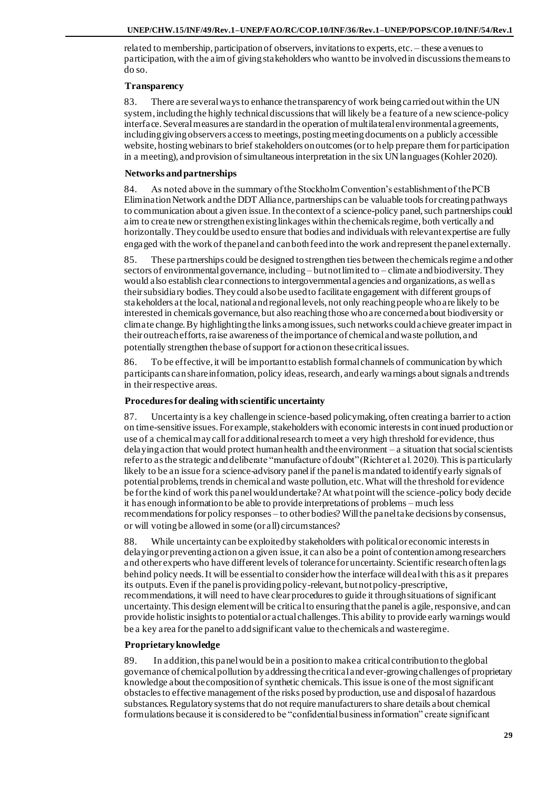related to membership, participation of observers, invitations to experts, etc. – these avenues to participation, with the aim of giving stakeholders who want to be involved in discussions the means to do so.

### **Transparency**

83. There are several ways to enhance the transparency of work being carried out within the UN system, including the highly technical discussions that will likely be a feature of a new science-policy interface. Several measures are standard in the operation of multilateral environmental agreements, including giving observers access to meetings, posting meeting documents on a publicly accessible website, hosting webinars to brief stakeholders on outcomes (or to help prepare them for participation in a meeting), and provision of simultaneous interpretation in the six UN languages (Kohler 2020).

### **Networks and partnerships**

84. As noted above in the summary of the Stockholm Convention's establishment of the PCB Elimination Network and the DDT Alliance, partnerships can be valuable tools for creating pathways to communication about a given issue. In the context of a science-policy panel, such partnerships could aim to create new or strengthen existing linkages within the chemicals regime, both vertically and horizontally. They could be used to ensure that bodies and individuals with relevant expertise are fully engaged with the work of the panel and can both feed into the work and represent the panel externally.

85. These partnerships could be designed to strengthen ties between the chemicals regime and other sectors of environmental governance, including – but not limited to – climate and biodiversity. They would also establish clear connections to intergovernmental agencies and organizations, as well as their subsidiary bodies. They could also be used to facilitate engagement with different groups of stakeholders at the local, national and regional levels, not only reaching people who are likely to be interested in chemicals governance, but also reaching those who are concerned about biodiversity or climate change. By highlighting the links among issues, such networks could achieve greater impact in their outreach efforts, raise awareness of the importance of chemical and waste pollution, and potentially strengthen the base of support for action on these critical issues.

86. To be effective, it will be important to establish formal channels of communication by which participants can share information, policy ideas, research, and early warnings about signals and trends in their respective areas.

### **Procedures for dealing with scientific uncertainty**

87. Uncertainty is a key challenge in science-based policymaking, often creating a barrier to action on time-sensitive issues. For example, stakeholders with economic interests in continued production or use of a chemical may call for additional research to meet a very high threshold for evidence, thus delaying action that would protect human health and the environment – a situation that social scientists refer to as the strategic and deliberate "manufacture of doubt" (Richter et al. 2020). This is particularly likely to be an issue for a science-advisory panel if the panel is mandated to identify early signals of potential problems, trends in chemical and waste pollution, etc. What will the threshold for evidence be for the kind of work this panel would undertake? At what point will the science-policy body decide it has enough information to be able to provide interpretations of problems – much less recommendations for policy responses – to other bodies? Will the panel take decisions by consensus, or will voting be allowed in some (or all) circumstances?

88. While uncertainty can be exploited by stakeholders with political or economic interests in delaying or preventing action on a given issue, it can also be a point of contention among researchers and other experts who have different levels of tolerance for uncertainty. Scientific research often lags behind policy needs. It will be essential to consider how the interface will deal with this as it prepares its outputs. Even if the panel is providing policy-relevant, but not policy-prescriptive, recommendations, it will need to have clear procedures to guide it through situations of significant uncertainty. This design element will be critical to ensuring that the panel is agile, responsive, and can provide holistic insights to potential or actual challenges. This ability to provide early warnings would be a key area for the panel to add significant value to the chemicals and waste regime.

#### **Proprietary knowledge**

89. In addition, this panel would be in a position to make a critical contribution to the global governance of chemical pollution by addressing the critical and ever-growing challenges of proprietary knowledge about the composition of synthetic chemicals. This issue is one of the most significant obstacles to effective management of the risks posed by production, use and disposal of hazardous substances. Regulatory systems that do not require manufacturers to share details about chemical formulations because it is considered to be "confidential business information" create significant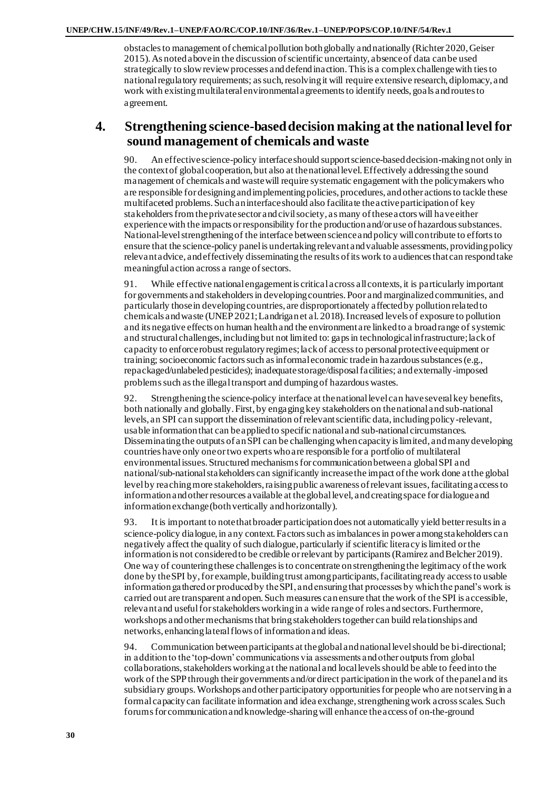obstacles to management of chemical pollution both globally and nationally (Richter 2020, Geiser 2015). As noted above in the discussion of scientific uncertainty, absence of data can be used strategically to slow review processes and defend inaction. This is a complex challenge with ties to national regulatory requirements; as such, resolving it will require extensive research, diplomacy, and work with existing multilateral environmental agreements to identify needs, goals and routes to agreement.

## **4. Strengthening science-based decision making at the national level for sound management of chemicals and waste**

90. An effective science-policy interface should support science-based decision-making not only in the context of global cooperation, but also at the national level. Effectively addressing the sound management of chemicals and waste will require systematic engagement with the policymakers who are responsible for designing and implementing policies, procedures, and other actions to tackle these multifaceted problems. Such an interface should also facilitate the active participation of key stakeholders from the private sector and civil society, as many of these actors will have either experience with the impacts or responsibility for the production and/or use of hazardous substances. National-level strengthening of the interface between science and policy will contribute to efforts to ensure that the science-policy panel is undertaking relevant and valuable assessments, providing policy relevant advice, and effectively disseminating the results of its work to audiences that can respond take meaningful action across a range of sectors.

91. While effective national engagement is critical across all contexts, it is particularly important for governments and stakeholders in developing countries. Poor and marginalized communities, and particularly those in developing countries, are disproportionately affected by pollution related to chemicals and waste (UNEP 2021; Landrigan et al. 2018). Increased levels of exposure to pollution and its negative effects on human health and the environment are linked to a broad range of systemic and structural challenges, including but not limited to: gaps in technological infrastructure; lack of capacity to enforce robust regulatory regimes; lack of access to personal protective equipment or training; socioeconomic factors such as informal economic trade in hazardous substances (e.g., repackaged/unlabeled pesticides); inadequate storage/disposal facilities; and externally-imposed problems such as the illegal transport and dumping of hazardous wastes.

92. Strengthening the science-policy interface at the national level can have several key benefits, both nationally and globally. First, by engaging key stakeholders on the national and sub-national levels, an SPI can support the dissemination of relevant scientific data, including policy-relevant, usable information that can be applied to specific national and sub-national circumstances. Disseminating the outputs of an SPI can be challenging when capacity is limited, and many developing countries have only one or two experts who are responsible for a portfolio of multilateral environmental issues. Structured mechanisms for communication between a global SPI and national/sub-national stakeholders can significantly increase the impact of the work done at the global level by reaching more stakeholders, raising public awareness of relevant issues, facilitating access to information and other resources available at the global level, and creating space for dialogue and information exchange (both vertically and horizontally).

93. It is important to note that broader participation does not automatically yield better results in a science-policy dialogue, in any context. Factors such as imbalances in power among stakeholders can negatively affect the quality of such dialogue, particularly if scientific literacy is limited or the information is not considered to be credible or relevant by participants (Ramirez and Belcher 2019). One way of countering these challenges is to concentrate on strengthening the legitimacy of the work done by the SPI by, for example, building trust among participants, facilitating ready access to usable information gathered or produced by the SPI, and ensuring that processes by which the panel's work is carried out are transparent and open. Such measures can ensure that the work of the SPI is accessible, relevant and useful for stakeholders working in a wide range of roles and sectors. Furthermore, workshops and other mechanisms that bring stakeholders together can build relationships and networks, enhancing lateral flows of information and ideas.

94. Communication between participants at the global and national level should be bi-directional; in addition to the 'top-down' communications via assessments and other outputs from global collaborations, stakeholders working at the national and local levels should be able to feed into the work of the SPP through their governments and/or direct participation in the work of the panel and its subsidiary groups. Workshops and other participatory opportunities for people who are not serving in a formal capacity can facilitate information and idea exchange, strengthening work across scales. Such forumsfor communication and knowledge-sharing will enhance the access of on-the-ground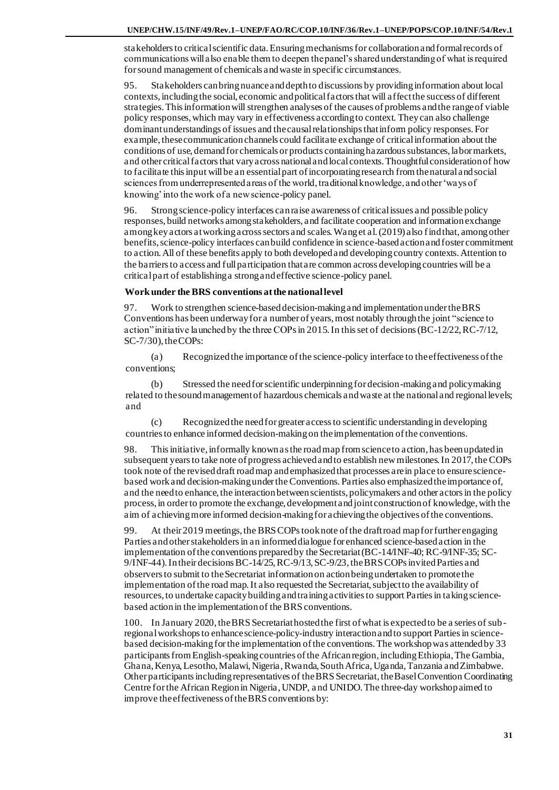stakeholders to critical scientific data. Ensuring mechanisms for collaboration and formal records of communications will also enable them to deepen the panel's shared understanding of what is required for sound management of chemicals and waste in specific circumstances.

95. Stakeholders can bring nuance and depth to discussions by providing information about local contexts, including the social, economic and political factors that will affect the success of different strategies. This information will strengthen analyses of the causes of problems and the range of viable policy responses, which may vary in effectiveness according to context. They can also challenge dominant understandings of issues and the causal relationships that inform policy responses. For example, these communication channels could facilitate exchange of critical information about the conditions of use, demand for chemicals or products containing hazardous substances, labor markets, and other critical factors that vary across national and local contexts. Thoughtful consideration of how to facilitate this input will be an essential part of incorporating research from the natural and social sciences from underrepresented areas of the world, traditional knowledge, and other 'ways of knowing' into the work of a new science-policy panel.

96. Strong science-policy interfaces can raise awareness of critical issues and possible policy responses, build networks among stakeholders, and facilitate cooperation and information exchange among key actors at working across sectors and scales. Wang et al. (2019) also find that, among other benefits, science-policy interfaces can build confidence in science-based action and foster commitment to action. All of these benefits apply to both developed and developing country contexts. Attention to the barriers to access and full participation that are common across developing countries will be a critical part of establishing a strong and effective science-policy panel.

#### **Work under the BRS conventions at the national level**

97. Work to strengthen science-based decision-making and implementation under the BRS Conventions has been underway for a number of years, most notably through the joint "science to action" initiative launched by the three COPs in 2015. In this set of decisions (BC-12/22, RC-7/12, SC-7/30), the COPs:

(a) Recognized the importance of the science-policy interface to the effectiveness of the conventions;

(b) Stressed the need for scientific underpinning for decision-making and policymaking related to the sound management of hazardous chemicals and waste at the national and regional levels; and

(c) Recognized the need for greater access to scientific understanding in developing countries to enhance informed decision-making on the implementation of the conventions.

98. This initiative, informally known as the road map from science to action, has been updated in subsequent years to take note of progress achieved and to establish new milestones. In 2017, the COPs took note of the revised draft road map and emphasized that processes are in place to ensure sciencebased work and decision-making under the Conventions. Parties also emphasized the importance of, and the need to enhance, the interaction between scientists, policymakers and other actors in the policy process, in order to promote the exchange, development and joint construction of knowledge, with the aim of achieving more informed decision-making for achieving the objectives of the conventions.

99. At their 2019 meetings, the BRS COPs took note of the draft road map for further engaging Parties and other stakeholders in an informed dialogue for enhanced science-based action in the implementation of the conventions prepared by the Secretariat (BC-14/INF-40; RC-9/INF-35; SC-9/INF-44). In their decisions BC-14/25, RC-9/13, SC-9/23, the BRS COPs invited Parties and observers to submit to the Secretariat information on action being undertaken to promote the implementation of the road map. It also requested the Secretariat, subject to the availability of resources, to undertake capacity building and training activities to support Parties in taking sciencebased action in the implementation of the BRSconventions.

100. In January 2020, the BRS Secretariat hosted the first of what is expected to be a series of subregional workshops to enhance science-policy-industry interaction and to support Parties in sciencebased decision-making for the implementation of the conventions. The workshop was attended by 33 participants from English-speaking countries of the African region, including Ethiopia, The Gambia, Ghana, Kenya, Lesotho, Malawi, Nigeria, Rwanda, South Africa, Uganda, Tanzania and Zimbabwe. Other participants including representatives of the BRS Secretariat, the Basel Convention Coordinating Centre for the African Region in Nigeria, UNDP, a nd UNIDO. The three-day workshop aimed to improve the effectiveness of the BRS conventions by: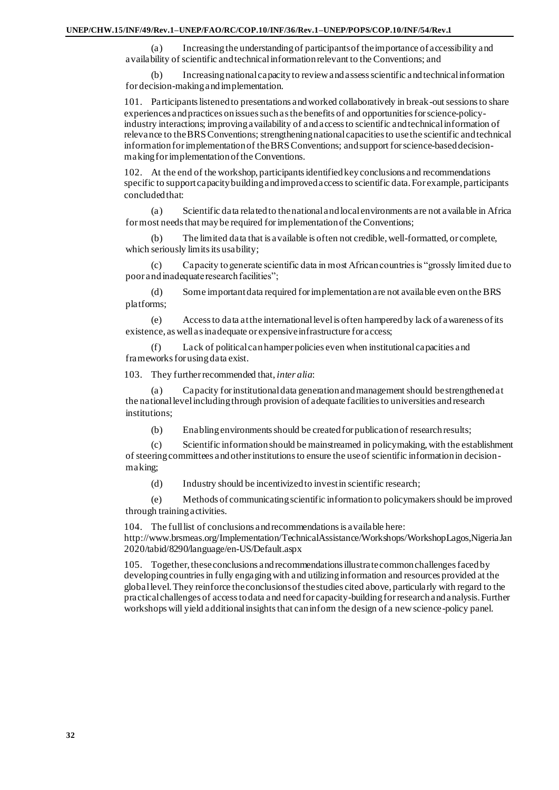(a) Increasing the understanding of participants of the importance of accessibility and availability of scientific and technical information relevant to the Conventions; and

(b) Increasing national capacity to review and assess scientific and technical information for decision-making and implementation.

101. Participants listened to presentations and worked collaboratively in break-out sessions to share experiences and practices on issues such as the benefits of and opportunities for science-policyindustry interactions; improving availability of and access to scientific and technical information of relevance to the BRS Conventions; strengthening national capacities to use the scientific and technical information for implementation of the BRS Conventions; and support for science-based decisionmaking for implementation of the Conventions.

102. At the end of the workshop, participants identified key conclusions and recommendations specific to support capacity building and improved access to scientific data. For example, participants concluded that:

(a) Scientific data related to the national and local environments are not available in Africa for most needs that may be required for implementation of the Conventions;

(b) The limited data that is available is often not credible, well-formatted, or complete, which seriously limits its usability;

(c) Capacity to generate scientific data in most African countries is "grossly limited due to poor and inadequate research facilities";

(d) Some important data required for implementation are not available even on the BRS platforms;

(e) Access to data at the international level is often hampered by lack of awareness of its existence, as well as inadequate or expensive infrastructure for access;

(f) Lack of political can hamper policies even when institutional capacities and frameworks for using data exist.

103. They further recommended that, *inter alia*:

(a) Capacity for institutional data generation and management should be strengthened at the national level including through provision of adequate facilities to universities and research institutions;

(b) Enabling environments should be created for publication of research results;

(c) Scientific information should be mainstreamed in policymaking, with the establishment of steering committees and other institutions to ensure the use of scientific information in decisionmaking;

(d) Industry should be incentivized to invest in scientific research;

(e) Methods of communicating scientific information to policymakers should be improved through training activities.

104. The full list of conclusions and recommendations is available here:

[http://www.brsmeas.org/Implementation/TechnicalAssistance/Workshops/WorkshopLagos,NigeriaJan](http://www.brsmeas.org/Implementation/TechnicalAssistance/Workshops/WorkshopLagos,NigeriaJan2020/tabid/8290/language/en-US/Default.aspx) [2020/tabid/8290/language/en-US/Default.aspx](http://www.brsmeas.org/Implementation/TechnicalAssistance/Workshops/WorkshopLagos,NigeriaJan2020/tabid/8290/language/en-US/Default.aspx)

105. Together, these conclusions and recommendations illustrate common challenges faced by developing countries in fully engaging with and utilizing information and resources provided at the global level. They reinforce the conclusions of the studies cited above, particularly with regard to the practical challenges of access to data and need for capacity-building for research and analysis. Further workshops will yield additional insights that can inform the design of a new science-policy panel.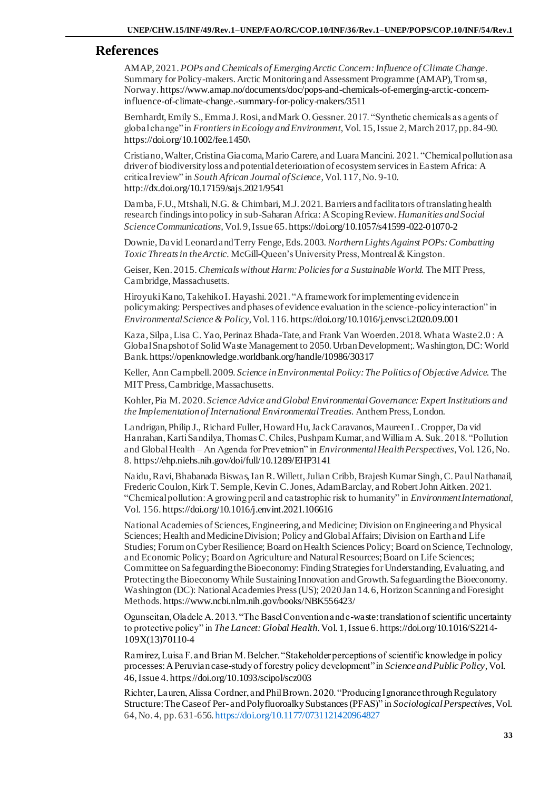### **References**

AMAP, 2021. *POPs and Chemicals of Emerging Arctic Concern: Influence of Climate Change*. Summary for Policy-makers. Arctic Monitoring and Assessment Programme (AMAP), Tromsø, Norway[. https://www.amap.no/documents/doc/pops-and-chemicals-of-emerging-arctic-concern](https://www.amap.no/documents/doc/pops-and-chemicals-of-emerging-arctic-concern-influence-of-climate-change.-summary-for-policy-makers/3511)[influence-of-climate-change.-summary-for-policy-makers/3511](https://www.amap.no/documents/doc/pops-and-chemicals-of-emerging-arctic-concern-influence-of-climate-change.-summary-for-policy-makers/3511)

Bernhardt, Emily S., Emma J. Rosi, and Mark O. Gessner. 2017. "Synthetic chemicals as agents of global change" in *Frontiers in Ecology and Environment*, Vol. 15, Issue 2, March 2017, pp. 84-90. [https://doi.org/10.1002/fee.1450\](https://doi.org/10.1002/fee.1450/)

Cristiano, Walter, Cristina Giacoma, Mario Carere, and Luara Mancini. 2021. "Chemical pollution as a driver of biodiversity loss and potential deterioration of ecosystem services in Eastern Africa: A critical review" in *South African Journal of Science*, Vol. 117, No. 9-10. <http://dx.doi.org/10.17159/sajs.2021/9541>

Damba, F.U., Mtshali, N.G. & Chimbari, M.J. 2021. Barriers and facilitators of translating health research findings into policy in sub-Saharan Africa: A Scoping Review. *Humanities and Social Science Communications,* Vol. 9, Issue 65[. https://doi.org/10.1057/s41599-022-01070-2](https://doi.org/10.1057/s41599-022-01070-2)

Downie, David Leonard and Terry Fenge, Eds. 2003. *Northern Lights Against POPs: Combatting Toxic Threats in the Arctic.* McGill-Queen's University Press, Montreal & Kingston.

Geiser, Ken. 2015. *Chemicals without Harm: Policies for a Sustainable World.* The MIT Press, Cambridge, Massachusetts.

Hiroyuki Kano, Takehiko I. Hayashi. 2021. "A framework for implementing evidence in policymaking: Perspectives and phases of evidence evaluation in the science-policy interaction" in *Environmental Science & Policy*, Vol. 116[. https://doi.org/10.1016/j.envsci.2020.09.001](https://doi.org/10.1016/j.envsci.2020.09.001)

Kaza, Silpa, Lisa C. Yao, Perinaz Bhada-Tate, and Frank Van Woerden. 2018. What a Waste 2.0: A Global Snapshot of Solid Waste Management to 2050. Urban Development;. Washington, DC: World Bank[. https://openknowledge.worldbank.org/handle/10986/30317](https://openknowledge.worldbank.org/handle/10986/30317)

Keller, Ann Campbell. 2009. *Science in Environmental Policy: The Politics of Objective Advice.* The MIT Press, Cambridge, Massachusetts.

Kohler, Pia M. 2020. *Science Advice and Global Environmental Governance: Expert Institutions and the Implementation of International Environmental Treaties.* Anthem Press, London.

Landrigan, Philip J., Richard Fuller, Howard Hu, Jack Caravanos, Maureen L. Cropper, Da vid Hanrahan, Karti Sandilya, Thomas C. Chiles, Pushpam Kumar, and William A. Suk. 2018. "Pollution and Global Health – An Agenda for Prevetnion" in *Environmental Health Perspectives*, Vol. 126, No. 8[. https://ehp.niehs.nih.gov/doi/full/10.1289/EHP3141](https://ehp.niehs.nih.gov/doi/full/10.1289/EHP3141)

Naidu, Ravi, Bhabanada Biswas, Ian R. Willett, Julian Cribb, Brajesh Kumar Singh, C. Paul Nathanail, Frederic Coulon, Kirk T. Semple, Kevin C. Jones, Adam Barclay, and Robert John Aitken. 2021. "Chemical pollution: A growing peril and catastrophic risk to humanity" in *Environment International*, Vol. 156[. https://doi.org/10.1016/j.envint.2021.106616](https://doi.org/10.1016/j.envint.2021.106616)

National Academies of Sciences, Engineering, and Medicine; Division on Engineering and Physical Sciences; Health and Medicine Division; Policy and Global Affairs; Division on Earth and Life Studies; Forum on Cyber Resilience; Board on Health Sciences Policy; Board on Science, Technology, and Economic Policy; Board on Agriculture and Natural Resources; Board on Life Sciences; Committee on Safeguarding the Bioeconomy: Finding Strategies for Understanding, Evaluating, and Protecting the Bioeconomy While Sustaining Innovation and Growth. Safeguarding the Bioeconomy. Washington (DC): National Academies Press (US); 2020 Jan 14. 6, Horizon Scanning and Foresight Methods[. https://www.ncbi.nlm.nih.gov/books/NBK556423/](https://www.ncbi.nlm.nih.gov/books/NBK556423/)

Ogunseitan, Oladele A. 2013. "The Basel Convention and e-waste: translation of scientific uncertainty to protective policy" in *The Lancet: Global Health*. Vol. 1, Issue 6[. https://doi.org/10.1016/S2214-](https://doi.org/10.1016/S2214-109X(13)70110-4) [109X\(13\)70110-4](https://doi.org/10.1016/S2214-109X(13)70110-4)

Ramirez, Luisa F. and Brian M. Belcher. "Stakeholder perceptions of scientific knowledge in policy processes: A Peruvian case-study of forestry policy development" in *Science and Public Policy*, Vol. 46, Issue 4[. https://doi.org/10.1093/scipol/scz003](https://doi.org/10.1093/scipol/scz003)

Richter, Lauren, Alissa Cordner, and Phil Brown. 2020. "Producing Ignorance through Regulatory Structure: The Case of Per- and Polyfluoroalky Substances (PFAS)" in *Sociological Perspectives*, Vol. 64, No. 4, pp. 631-656[. https://doi.org/10.1177/0731121420964827](https://doi.org/10.1177%2F0731121420964827)